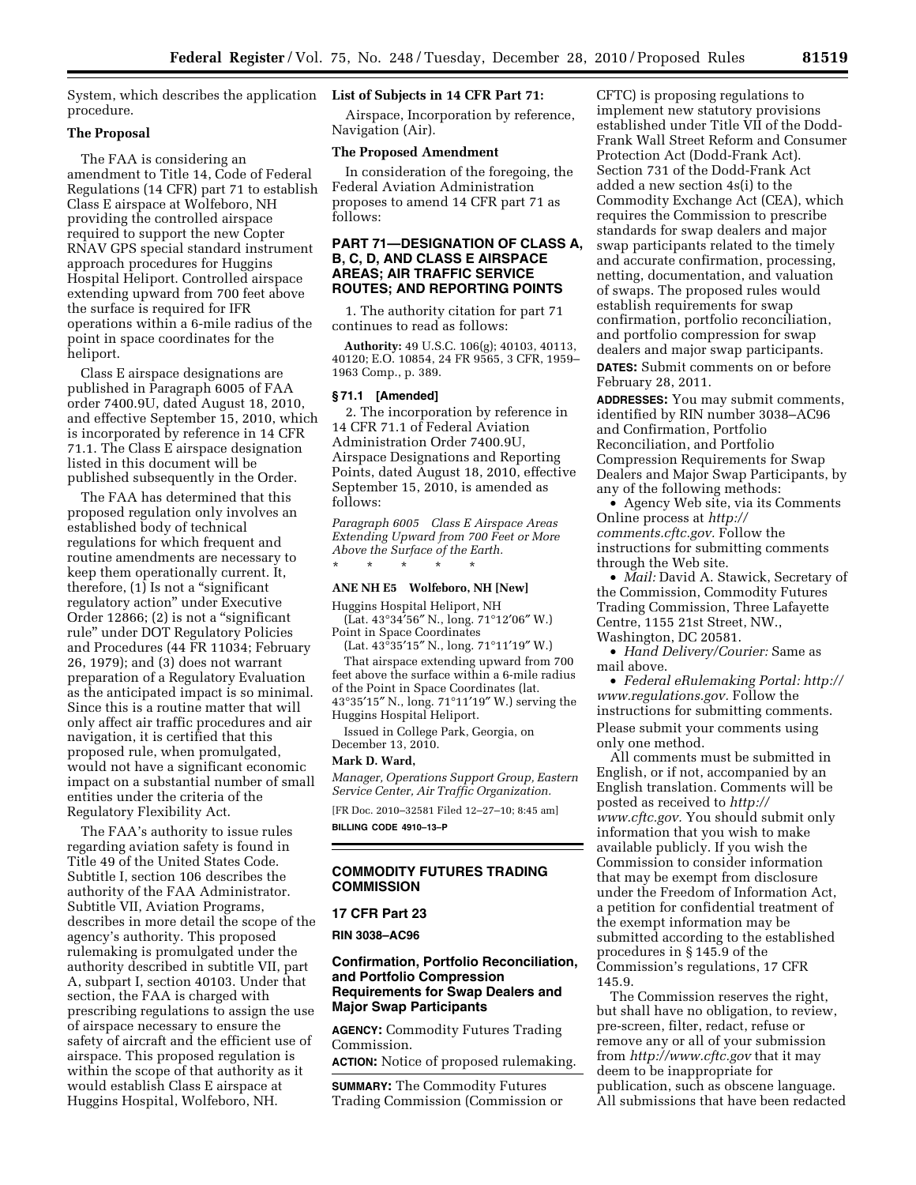System, which describes the application **List of Subjects in 14 CFR Part 71:**  procedure.

# **The Proposal**

The FAA is considering an amendment to Title 14, Code of Federal Regulations (14 CFR) part 71 to establish Class E airspace at Wolfeboro, NH providing the controlled airspace required to support the new Copter RNAV GPS special standard instrument approach procedures for Huggins Hospital Heliport. Controlled airspace extending upward from 700 feet above the surface is required for IFR operations within a 6-mile radius of the point in space coordinates for the heliport.

Class E airspace designations are published in Paragraph 6005 of FAA order 7400.9U, dated August 18, 2010, and effective September 15, 2010, which is incorporated by reference in 14 CFR 71.1. The Class E airspace designation listed in this document will be published subsequently in the Order.

The FAA has determined that this proposed regulation only involves an established body of technical regulations for which frequent and routine amendments are necessary to keep them operationally current. It, therefore, (1) Is not a ''significant regulatory action'' under Executive Order 12866; (2) is not a "significant rule'' under DOT Regulatory Policies and Procedures (44 FR 11034; February 26, 1979); and (3) does not warrant preparation of a Regulatory Evaluation as the anticipated impact is so minimal. Since this is a routine matter that will only affect air traffic procedures and air navigation, it is certified that this proposed rule, when promulgated, would not have a significant economic impact on a substantial number of small entities under the criteria of the Regulatory Flexibility Act.

The FAA's authority to issue rules regarding aviation safety is found in Title 49 of the United States Code. Subtitle I, section 106 describes the authority of the FAA Administrator. Subtitle VII, Aviation Programs, describes in more detail the scope of the agency's authority. This proposed rulemaking is promulgated under the authority described in subtitle VII, part A, subpart I, section 40103. Under that section, the FAA is charged with prescribing regulations to assign the use of airspace necessary to ensure the safety of aircraft and the efficient use of airspace. This proposed regulation is within the scope of that authority as it would establish Class E airspace at Huggins Hospital, Wolfeboro, NH.

Airspace, Incorporation by reference, Navigation (Air).

## **The Proposed Amendment**

In consideration of the foregoing, the Federal Aviation Administration proposes to amend 14 CFR part 71 as follows:

## **PART 71—DESIGNATION OF CLASS A, B, C, D, AND CLASS E AIRSPACE AREAS; AIR TRAFFIC SERVICE ROUTES; AND REPORTING POINTS**

1. The authority citation for part 71 continues to read as follows:

**Authority:** 49 U.S.C. 106(g); 40103, 40113, 40120; E.O. 10854, 24 FR 9565, 3 CFR, 1959– 1963 Comp., p. 389.

#### **§ 71.1 [Amended]**

2. The incorporation by reference in 14 CFR 71.1 of Federal Aviation Administration Order 7400.9U, Airspace Designations and Reporting Points, dated August 18, 2010, effective September 15, 2010, is amended as follows:

*Paragraph 6005 Class E Airspace Areas Extending Upward from 700 Feet or More Above the Surface of the Earth.*  \* \* \* \* \*

#### **ANE NH E5 Wolfeboro, NH [New]**

Huggins Hospital Heliport, NH (Lat. 43°34′56″ N., long. 71°12′06″ W.) Point in Space Coordinates

(Lat. 43°35′15″ N., long. 71°11′19″ W.)

That airspace extending upward from 700 feet above the surface within a 6-mile radius of the Point in Space Coordinates (lat. 43°35′15″ N., long. 71°11′19″ W.) serving the Huggins Hospital Heliport.

Issued in College Park, Georgia, on December 13, 2010.

## **Mark D. Ward,**

*Manager, Operations Support Group, Eastern Service Center, Air Traffic Organization.* 

[FR Doc. 2010–32581 Filed 12–27–10; 8:45 am] **BILLING CODE 4910–13–P** 

# **COMMODITY FUTURES TRADING COMMISSION**

## **17 CFR Part 23**

**RIN 3038–AC96** 

## **Confirmation, Portfolio Reconciliation, and Portfolio Compression Requirements for Swap Dealers and Major Swap Participants**

**AGENCY:** Commodity Futures Trading Commission.

**ACTION:** Notice of proposed rulemaking.

**SUMMARY:** The Commodity Futures Trading Commission (Commission or CFTC) is proposing regulations to implement new statutory provisions established under Title VII of the Dodd-Frank Wall Street Reform and Consumer Protection Act (Dodd-Frank Act). Section 731 of the Dodd-Frank Act added a new section 4s(i) to the Commodity Exchange Act (CEA), which requires the Commission to prescribe standards for swap dealers and major swap participants related to the timely and accurate confirmation, processing, netting, documentation, and valuation of swaps. The proposed rules would establish requirements for swap confirmation, portfolio reconciliation, and portfolio compression for swap dealers and major swap participants. **DATES:** Submit comments on or before February 28, 2011.

**ADDRESSES:** You may submit comments, identified by RIN number 3038–AC96 and Confirmation, Portfolio Reconciliation, and Portfolio Compression Requirements for Swap Dealers and Major Swap Participants, by any of the following methods:

• Agency Web site, via its Comments Online process at *[http://](http://comments.cftc.gov)  [comments.cftc.gov.](http://comments.cftc.gov)* Follow the instructions for submitting comments through the Web site.

• *Mail:* David A. Stawick, Secretary of the Commission, Commodity Futures Trading Commission, Three Lafayette Centre, 1155 21st Street, NW., Washington, DC 20581.

• *Hand Delivery/Courier:* Same as mail above.

• *Federal eRulemaking Portal: [http://](http://www.regulations.gov)  [www.regulations.gov.](http://www.regulations.gov)* Follow the instructions for submitting comments. Please submit your comments using only one method.

All comments must be submitted in English, or if not, accompanied by an English translation. Comments will be posted as received to *[http://](http://www.cftc.gov) [www.cftc.gov.](http://www.cftc.gov)* You should submit only information that you wish to make available publicly. If you wish the Commission to consider information that may be exempt from disclosure under the Freedom of Information Act, a petition for confidential treatment of the exempt information may be submitted according to the established procedures in § 145.9 of the Commission's regulations, 17 CFR 145.9.

The Commission reserves the right, but shall have no obligation, to review, pre-screen, filter, redact, refuse or remove any or all of your submission from *<http://www.cftc.gov>* that it may deem to be inappropriate for publication, such as obscene language. All submissions that have been redacted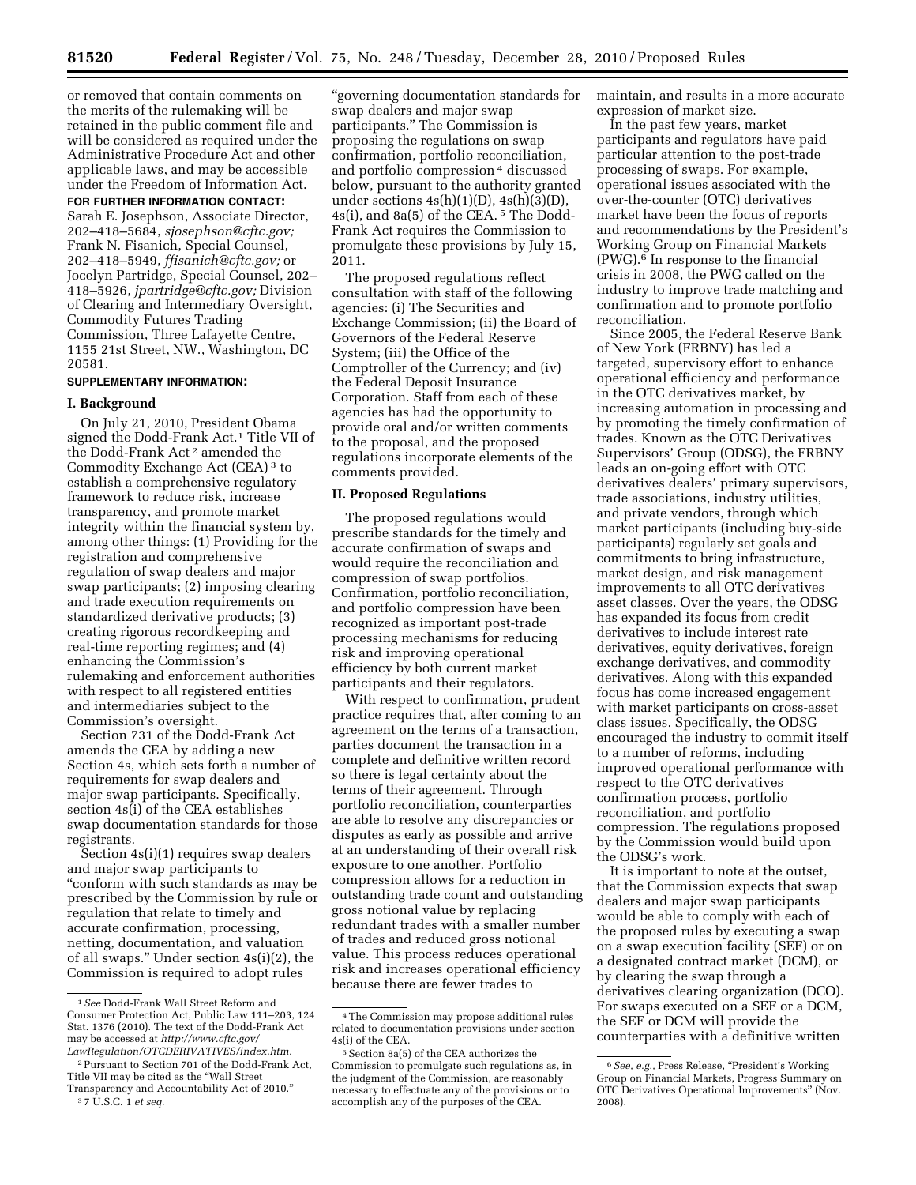or removed that contain comments on the merits of the rulemaking will be retained in the public comment file and will be considered as required under the Administrative Procedure Act and other applicable laws, and may be accessible under the Freedom of Information Act.

### **FOR FURTHER INFORMATION CONTACT:**

Sarah E. Josephson, Associate Director, 202–418–5684, *[sjosephson@cftc.gov;](mailto:sjosephson@cftc.gov)*  Frank N. Fisanich, Special Counsel, 202–418–5949, *[ffisanich@cftc.gov;](mailto:ffisanich@cftc.gov)* or Jocelyn Partridge, Special Counsel, 202– 418–5926, *[jpartridge@cftc.gov;](mailto:jpartridge@cftc.gov)* Division of Clearing and Intermediary Oversight, Commodity Futures Trading Commission, Three Lafayette Centre, 1155 21st Street, NW., Washington, DC 20581.

#### **SUPPLEMENTARY INFORMATION:**

#### **I. Background**

On July 21, 2010, President Obama signed the Dodd-Frank Act.1 Title VII of the Dodd-Frank Act 2 amended the Commodity Exchange Act (CEA) 3 to establish a comprehensive regulatory framework to reduce risk, increase transparency, and promote market integrity within the financial system by, among other things: (1) Providing for the registration and comprehensive regulation of swap dealers and major swap participants; (2) imposing clearing and trade execution requirements on standardized derivative products; (3) creating rigorous recordkeeping and real-time reporting regimes; and (4) enhancing the Commission's rulemaking and enforcement authorities with respect to all registered entities and intermediaries subject to the Commission's oversight.

Section 731 of the Dodd-Frank Act amends the CEA by adding a new Section 4s, which sets forth a number of requirements for swap dealers and major swap participants. Specifically, section 4s(i) of the CEA establishes swap documentation standards for those registrants.

Section 4s(i)(1) requires swap dealers and major swap participants to ''conform with such standards as may be prescribed by the Commission by rule or regulation that relate to timely and accurate confirmation, processing, netting, documentation, and valuation of all swaps.'' Under section 4s(i)(2), the Commission is required to adopt rules

''governing documentation standards for swap dealers and major swap participants.'' The Commission is proposing the regulations on swap confirmation, portfolio reconciliation, and portfolio compression 4 discussed below, pursuant to the authority granted under sections  $4s(h)(1)(D)$ ,  $4s(h)(3)(D)$ , 4s(i), and 8a(5) of the CEA. 5 The Dodd-Frank Act requires the Commission to promulgate these provisions by July 15, 2011.

The proposed regulations reflect consultation with staff of the following agencies: (i) The Securities and Exchange Commission; (ii) the Board of Governors of the Federal Reserve System; (iii) the Office of the Comptroller of the Currency; and (iv) the Federal Deposit Insurance Corporation. Staff from each of these agencies has had the opportunity to provide oral and/or written comments to the proposal, and the proposed regulations incorporate elements of the comments provided.

## **II. Proposed Regulations**

The proposed regulations would prescribe standards for the timely and accurate confirmation of swaps and would require the reconciliation and compression of swap portfolios. Confirmation, portfolio reconciliation, and portfolio compression have been recognized as important post-trade processing mechanisms for reducing risk and improving operational efficiency by both current market participants and their regulators.

With respect to confirmation, prudent practice requires that, after coming to an agreement on the terms of a transaction, parties document the transaction in a complete and definitive written record so there is legal certainty about the terms of their agreement. Through portfolio reconciliation, counterparties are able to resolve any discrepancies or disputes as early as possible and arrive at an understanding of their overall risk exposure to one another. Portfolio compression allows for a reduction in outstanding trade count and outstanding gross notional value by replacing redundant trades with a smaller number of trades and reduced gross notional value. This process reduces operational risk and increases operational efficiency because there are fewer trades to

maintain, and results in a more accurate expression of market size.

In the past few years, market participants and regulators have paid particular attention to the post-trade processing of swaps. For example, operational issues associated with the over-the-counter (OTC) derivatives market have been the focus of reports and recommendations by the President's Working Group on Financial Markets (PWG).6 In response to the financial crisis in 2008, the PWG called on the industry to improve trade matching and confirmation and to promote portfolio reconciliation.

Since 2005, the Federal Reserve Bank of New York (FRBNY) has led a targeted, supervisory effort to enhance operational efficiency and performance in the OTC derivatives market, by increasing automation in processing and by promoting the timely confirmation of trades. Known as the OTC Derivatives Supervisors' Group (ODSG), the FRBNY leads an on-going effort with OTC derivatives dealers' primary supervisors, trade associations, industry utilities, and private vendors, through which market participants (including buy-side participants) regularly set goals and commitments to bring infrastructure, market design, and risk management improvements to all OTC derivatives asset classes. Over the years, the ODSG has expanded its focus from credit derivatives to include interest rate derivatives, equity derivatives, foreign exchange derivatives, and commodity derivatives. Along with this expanded focus has come increased engagement with market participants on cross-asset class issues. Specifically, the ODSG encouraged the industry to commit itself to a number of reforms, including improved operational performance with respect to the OTC derivatives confirmation process, portfolio reconciliation, and portfolio compression. The regulations proposed by the Commission would build upon the ODSG's work.

It is important to note at the outset, that the Commission expects that swap dealers and major swap participants would be able to comply with each of the proposed rules by executing a swap on a swap execution facility (SEF) or on a designated contract market (DCM), or by clearing the swap through a derivatives clearing organization (DCO). For swaps executed on a SEF or a DCM, the SEF or DCM will provide the counterparties with a definitive written

<sup>1</sup>*See* Dodd-Frank Wall Street Reform and Consumer Protection Act, Public Law 111–203, 124 Stat. 1376 (2010). The text of the Dodd-Frank Act may be accessed at *[http://www.cftc.gov/](http://www.cftc.gov/LawRegulation/OTCDERIVATIVES/index.htm) [LawRegulation/OTCDERIVATIVES/index.htm.](http://www.cftc.gov/LawRegulation/OTCDERIVATIVES/index.htm)* 

<sup>2</sup>Pursuant to Section 701 of the Dodd-Frank Act, Title VII may be cited as the ''Wall Street Transparency and Accountability Act of 2010.''

<sup>3</sup> 7 U.S.C. 1 *et seq.* 

<sup>4</sup>The Commission may propose additional rules related to documentation provisions under section 4s(i) of the CEA.

<sup>5</sup>Section 8a(5) of the CEA authorizes the Commission to promulgate such regulations as, in the judgment of the Commission, are reasonably necessary to effectuate any of the provisions or to accomplish any of the purposes of the CEA.

<sup>6</sup>*See, e.g.,* Press Release, ''President's Working Group on Financial Markets, Progress Summary on OTC Derivatives Operational Improvements'' (Nov. 2008).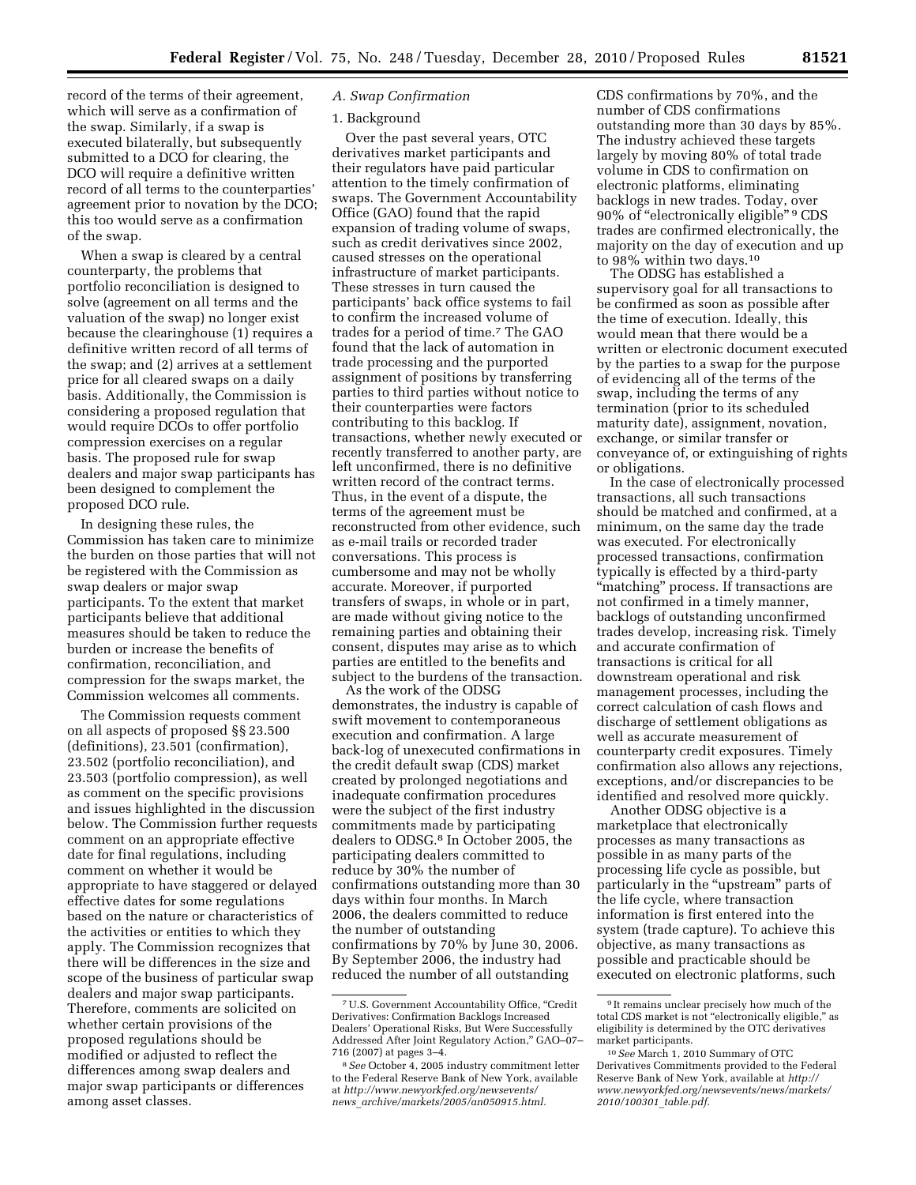record of the terms of their agreement, which will serve as a confirmation of the swap. Similarly, if a swap is executed bilaterally, but subsequently submitted to a DCO for clearing, the DCO will require a definitive written record of all terms to the counterparties' agreement prior to novation by the DCO; this too would serve as a confirmation

When a swap is cleared by a central counterparty, the problems that portfolio reconciliation is designed to solve (agreement on all terms and the valuation of the swap) no longer exist because the clearinghouse (1) requires a definitive written record of all terms of the swap; and (2) arrives at a settlement price for all cleared swaps on a daily basis. Additionally, the Commission is considering a proposed regulation that would require DCOs to offer portfolio compression exercises on a regular basis. The proposed rule for swap dealers and major swap participants has been designed to complement the proposed DCO rule.

of the swap.

In designing these rules, the Commission has taken care to minimize the burden on those parties that will not be registered with the Commission as swap dealers or major swap participants. To the extent that market participants believe that additional measures should be taken to reduce the burden or increase the benefits of confirmation, reconciliation, and compression for the swaps market, the Commission welcomes all comments.

The Commission requests comment on all aspects of proposed §§ 23.500 (definitions), 23.501 (confirmation), 23.502 (portfolio reconciliation), and 23.503 (portfolio compression), as well as comment on the specific provisions and issues highlighted in the discussion below. The Commission further requests comment on an appropriate effective date for final regulations, including comment on whether it would be appropriate to have staggered or delayed effective dates for some regulations based on the nature or characteristics of the activities or entities to which they apply. The Commission recognizes that there will be differences in the size and scope of the business of particular swap dealers and major swap participants. Therefore, comments are solicited on whether certain provisions of the proposed regulations should be modified or adjusted to reflect the differences among swap dealers and major swap participants or differences among asset classes.

## *A. Swap Confirmation*

### 1. Background

Over the past several years, OTC derivatives market participants and their regulators have paid particular attention to the timely confirmation of swaps. The Government Accountability Office (GAO) found that the rapid expansion of trading volume of swaps, such as credit derivatives since 2002, caused stresses on the operational infrastructure of market participants. These stresses in turn caused the participants' back office systems to fail to confirm the increased volume of trades for a period of time.7 The GAO found that the lack of automation in trade processing and the purported assignment of positions by transferring parties to third parties without notice to their counterparties were factors contributing to this backlog. If transactions, whether newly executed or recently transferred to another party, are left unconfirmed, there is no definitive written record of the contract terms. Thus, in the event of a dispute, the terms of the agreement must be reconstructed from other evidence, such as e-mail trails or recorded trader conversations. This process is cumbersome and may not be wholly accurate. Moreover, if purported transfers of swaps, in whole or in part, are made without giving notice to the remaining parties and obtaining their consent, disputes may arise as to which parties are entitled to the benefits and subject to the burdens of the transaction.

As the work of the ODSG demonstrates, the industry is capable of swift movement to contemporaneous execution and confirmation. A large back-log of unexecuted confirmations in the credit default swap (CDS) market created by prolonged negotiations and inadequate confirmation procedures were the subject of the first industry commitments made by participating dealers to ODSG.8 In October 2005, the participating dealers committed to reduce by 30% the number of confirmations outstanding more than 30 days within four months. In March 2006, the dealers committed to reduce the number of outstanding confirmations by 70% by June 30, 2006. By September 2006, the industry had reduced the number of all outstanding

CDS confirmations by 70%, and the number of CDS confirmations outstanding more than 30 days by 85%. The industry achieved these targets largely by moving 80% of total trade volume in CDS to confirmation on electronic platforms, eliminating backlogs in new trades. Today, over 90% of "electronically eligible" <sup>9</sup> CDS trades are confirmed electronically, the majority on the day of execution and up to 98% within two days.10

The ODSG has established a supervisory goal for all transactions to be confirmed as soon as possible after the time of execution. Ideally, this would mean that there would be a written or electronic document executed by the parties to a swap for the purpose of evidencing all of the terms of the swap, including the terms of any termination (prior to its scheduled maturity date), assignment, novation, exchange, or similar transfer or conveyance of, or extinguishing of rights or obligations.

In the case of electronically processed transactions, all such transactions should be matched and confirmed, at a minimum, on the same day the trade was executed. For electronically processed transactions, confirmation typically is effected by a third-party "matching" process. If transactions are not confirmed in a timely manner, backlogs of outstanding unconfirmed trades develop, increasing risk. Timely and accurate confirmation of transactions is critical for all downstream operational and risk management processes, including the correct calculation of cash flows and discharge of settlement obligations as well as accurate measurement of counterparty credit exposures. Timely confirmation also allows any rejections, exceptions, and/or discrepancies to be identified and resolved more quickly.

Another ODSG objective is a marketplace that electronically processes as many transactions as possible in as many parts of the processing life cycle as possible, but particularly in the "upstream" parts of the life cycle, where transaction information is first entered into the system (trade capture). To achieve this objective, as many transactions as possible and practicable should be executed on electronic platforms, such

<sup>7</sup>U.S. Government Accountability Office, ''Credit Derivatives: Confirmation Backlogs Increased Dealers' Operational Risks, But Were Successfully Addressed After Joint Regulatory Action,'' GAO–07– 716 (2007) at pages 3–4.

<sup>8</sup>*See* October 4, 2005 industry commitment letter to the Federal Reserve Bank of New York, available at *[http://www.newyorkfed.org/newsevents/](http://www.newyorkfed.org/newsevents/news_archive/markets/2005/an050915.html)  news*\_*[archive/markets/2005/an050915.html.](http://www.newyorkfed.org/newsevents/news_archive/markets/2005/an050915.html)* 

<sup>9</sup> It remains unclear precisely how much of the total CDS market is not ''electronically eligible,'' as eligibility is determined by the OTC derivatives market participants.

<sup>10</sup>*See* March 1, 2010 Summary of OTC Derivatives Commitments provided to the Federal Reserve Bank of New York, available at *[http://](http://www.newyorkfed.org/newsevents/news/markets/2010/100301_table.pdf) [www.newyorkfed.org/newsevents/news/markets/](http://www.newyorkfed.org/newsevents/news/markets/2010/100301_table.pdf)  [2010/100301](http://www.newyorkfed.org/newsevents/news/markets/2010/100301_table.pdf)*\_*table.pdf.*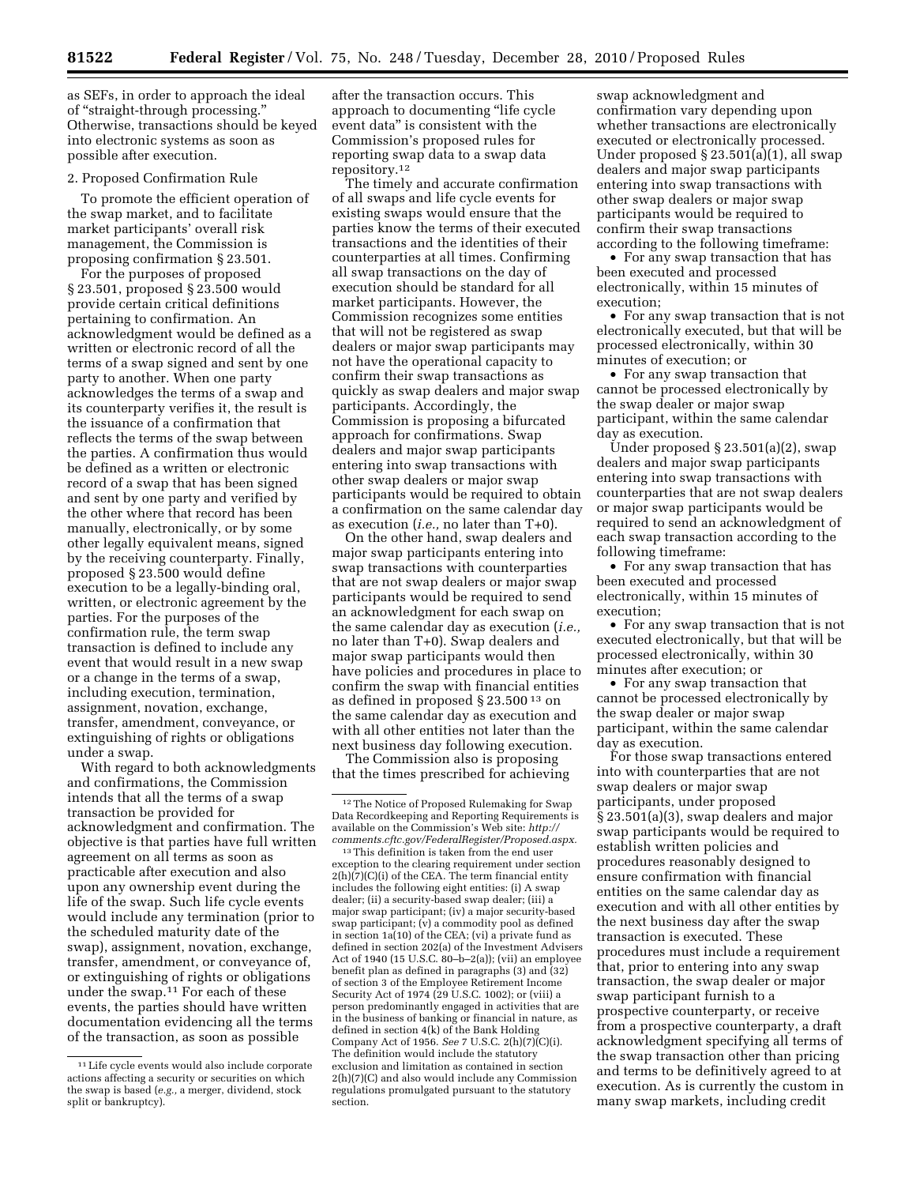as SEFs, in order to approach the ideal of ''straight-through processing.'' Otherwise, transactions should be keyed into electronic systems as soon as possible after execution.

## 2. Proposed Confirmation Rule

To promote the efficient operation of the swap market, and to facilitate market participants' overall risk management, the Commission is proposing confirmation § 23.501.

For the purposes of proposed § 23.501, proposed § 23.500 would provide certain critical definitions pertaining to confirmation. An acknowledgment would be defined as a written or electronic record of all the terms of a swap signed and sent by one party to another. When one party acknowledges the terms of a swap and its counterparty verifies it, the result is the issuance of a confirmation that reflects the terms of the swap between the parties. A confirmation thus would be defined as a written or electronic record of a swap that has been signed and sent by one party and verified by the other where that record has been manually, electronically, or by some other legally equivalent means, signed by the receiving counterparty. Finally, proposed § 23.500 would define execution to be a legally-binding oral, written, or electronic agreement by the parties. For the purposes of the confirmation rule, the term swap transaction is defined to include any event that would result in a new swap or a change in the terms of a swap, including execution, termination, assignment, novation, exchange, transfer, amendment, conveyance, or extinguishing of rights or obligations under a swap.

With regard to both acknowledgments and confirmations, the Commission intends that all the terms of a swap transaction be provided for acknowledgment and confirmation. The objective is that parties have full written agreement on all terms as soon as practicable after execution and also upon any ownership event during the life of the swap. Such life cycle events would include any termination (prior to the scheduled maturity date of the swap), assignment, novation, exchange, transfer, amendment, or conveyance of, or extinguishing of rights or obligations under the swap.11 For each of these events, the parties should have written documentation evidencing all the terms of the transaction, as soon as possible

after the transaction occurs. This approach to documenting ''life cycle event data'' is consistent with the Commission's proposed rules for reporting swap data to a swap data repository.12

The timely and accurate confirmation of all swaps and life cycle events for existing swaps would ensure that the parties know the terms of their executed transactions and the identities of their counterparties at all times. Confirming all swap transactions on the day of execution should be standard for all market participants. However, the Commission recognizes some entities that will not be registered as swap dealers or major swap participants may not have the operational capacity to confirm their swap transactions as quickly as swap dealers and major swap participants. Accordingly, the Commission is proposing a bifurcated approach for confirmations. Swap dealers and major swap participants entering into swap transactions with other swap dealers or major swap participants would be required to obtain a confirmation on the same calendar day as execution (*i.e.,* no later than T+0).

On the other hand, swap dealers and major swap participants entering into swap transactions with counterparties that are not swap dealers or major swap participants would be required to send an acknowledgment for each swap on the same calendar day as execution (*i.e.,*  no later than T+0). Swap dealers and major swap participants would then have policies and procedures in place to confirm the swap with financial entities as defined in proposed § 23.500 13 on the same calendar day as execution and with all other entities not later than the next business day following execution.

The Commission also is proposing that the times prescribed for achieving

13This definition is taken from the end user exception to the clearing requirement under section 2(h)(7)(C)(i) of the CEA. The term financial entity includes the following eight entities: (i) A swap dealer; (ii) a security-based swap dealer; (iii) a major swap participant; (iv) a major security-based swap participant; (v) a commodity pool as defined in section 1a(10) of the CEA; (vi) a private fund as defined in section 202(a) of the Investment Advisers Act of 1940 (15 U.S.C. 80–b–2(a)); (vii) an employee benefit plan as defined in paragraphs (3) and (32) of section 3 of the Employee Retirement Income Security Act of 1974 (29 U.S.C. 1002); or (viii) a person predominantly engaged in activities that are in the business of banking or financial in nature, as defined in section 4(k) of the Bank Holding Company Act of 1956. *See* 7 U.S.C. 2(h)(7)(C)(i). The definition would include the statutory exclusion and limitation as contained in section 2(h)(7)(C) and also would include any Commission regulations promulgated pursuant to the statutory section.

swap acknowledgment and confirmation vary depending upon whether transactions are electronically executed or electronically processed. Under proposed § 23.501(a)(1), all swap dealers and major swap participants entering into swap transactions with other swap dealers or major swap participants would be required to confirm their swap transactions according to the following timeframe:

• For any swap transaction that has been executed and processed electronically, within 15 minutes of execution;

• For any swap transaction that is not electronically executed, but that will be processed electronically, within 30 minutes of execution; or

• For any swap transaction that cannot be processed electronically by the swap dealer or major swap participant, within the same calendar day as execution.

Under proposed  $\S 23.501(a)(2)$ , swap dealers and major swap participants entering into swap transactions with counterparties that are not swap dealers or major swap participants would be required to send an acknowledgment of each swap transaction according to the following timeframe:

• For any swap transaction that has been executed and processed electronically, within 15 minutes of execution;

• For any swap transaction that is not executed electronically, but that will be processed electronically, within 30 minutes after execution; or

• For any swap transaction that cannot be processed electronically by the swap dealer or major swap participant, within the same calendar day as execution.

For those swap transactions entered into with counterparties that are not swap dealers or major swap participants, under proposed § 23.501(a)(3), swap dealers and major swap participants would be required to establish written policies and procedures reasonably designed to ensure confirmation with financial entities on the same calendar day as execution and with all other entities by the next business day after the swap transaction is executed. These procedures must include a requirement that, prior to entering into any swap transaction, the swap dealer or major swap participant furnish to a prospective counterparty, or receive from a prospective counterparty, a draft acknowledgment specifying all terms of the swap transaction other than pricing and terms to be definitively agreed to at execution. As is currently the custom in many swap markets, including credit

<sup>11</sup>Life cycle events would also include corporate actions affecting a security or securities on which the swap is based (*e.g.,* a merger, dividend, stock split or bankruptcy).

<sup>12</sup>The Notice of Proposed Rulemaking for Swap Data Recordkeeping and Reporting Requirements is available on the Commission's Web site: *[http://](http://comments.cftc.gov/FederalRegister/Proposed.aspx)  [comments.cftc.gov/FederalRegister/Proposed.aspx.](http://comments.cftc.gov/FederalRegister/Proposed.aspx)*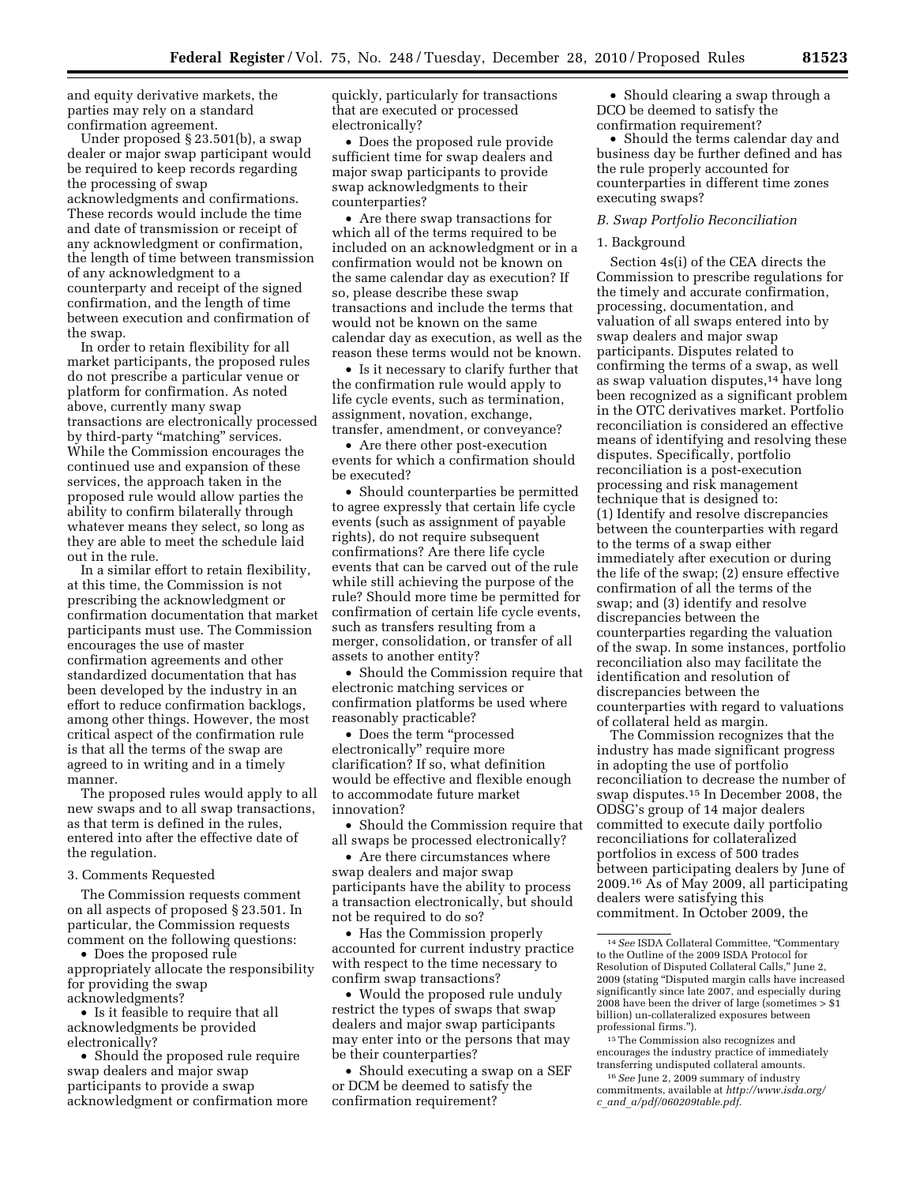and equity derivative markets, the parties may rely on a standard confirmation agreement.

Under proposed § 23.501(b), a swap dealer or major swap participant would be required to keep records regarding the processing of swap acknowledgments and confirmations. These records would include the time and date of transmission or receipt of any acknowledgment or confirmation, the length of time between transmission of any acknowledgment to a counterparty and receipt of the signed confirmation, and the length of time between execution and confirmation of the swap.

In order to retain flexibility for all market participants, the proposed rules do not prescribe a particular venue or platform for confirmation. As noted above, currently many swap transactions are electronically processed by third-party "matching" services. While the Commission encourages the continued use and expansion of these services, the approach taken in the proposed rule would allow parties the ability to confirm bilaterally through whatever means they select, so long as they are able to meet the schedule laid out in the rule.

In a similar effort to retain flexibility, at this time, the Commission is not prescribing the acknowledgment or confirmation documentation that market participants must use. The Commission encourages the use of master confirmation agreements and other standardized documentation that has been developed by the industry in an effort to reduce confirmation backlogs, among other things. However, the most critical aspect of the confirmation rule is that all the terms of the swap are agreed to in writing and in a timely manner.

The proposed rules would apply to all new swaps and to all swap transactions, as that term is defined in the rules, entered into after the effective date of the regulation.

#### 3. Comments Requested

The Commission requests comment on all aspects of proposed § 23.501. In particular, the Commission requests comment on the following questions:

• Does the proposed rule appropriately allocate the responsibility for providing the swap acknowledgments?

• Is it feasible to require that all acknowledgments be provided electronically?

• Should the proposed rule require swap dealers and major swap participants to provide a swap acknowledgment or confirmation more quickly, particularly for transactions that are executed or processed electronically?

• Does the proposed rule provide sufficient time for swap dealers and major swap participants to provide swap acknowledgments to their counterparties?

• Are there swap transactions for which all of the terms required to be included on an acknowledgment or in a confirmation would not be known on the same calendar day as execution? If so, please describe these swap transactions and include the terms that would not be known on the same calendar day as execution, as well as the reason these terms would not be known.

• Is it necessary to clarify further that the confirmation rule would apply to life cycle events, such as termination, assignment, novation, exchange, transfer, amendment, or conveyance?

• Are there other post-execution events for which a confirmation should be executed?

• Should counterparties be permitted to agree expressly that certain life cycle events (such as assignment of payable rights), do not require subsequent confirmations? Are there life cycle events that can be carved out of the rule while still achieving the purpose of the rule? Should more time be permitted for confirmation of certain life cycle events, such as transfers resulting from a merger, consolidation, or transfer of all assets to another entity?

• Should the Commission require that electronic matching services or confirmation platforms be used where reasonably practicable?

• Does the term "processed electronically'' require more clarification? If so, what definition would be effective and flexible enough to accommodate future market innovation?

• Should the Commission require that all swaps be processed electronically?

• Are there circumstances where swap dealers and major swap participants have the ability to process a transaction electronically, but should not be required to do so?

• Has the Commission properly accounted for current industry practice with respect to the time necessary to confirm swap transactions?

• Would the proposed rule unduly restrict the types of swaps that swap dealers and major swap participants may enter into or the persons that may be their counterparties?

• Should executing a swap on a SEF or DCM be deemed to satisfy the confirmation requirement?

• Should clearing a swap through a DCO be deemed to satisfy the confirmation requirement?

• Should the terms calendar day and business day be further defined and has the rule properly accounted for counterparties in different time zones executing swaps?

## *B. Swap Portfolio Reconciliation*

#### 1. Background

Section 4s(i) of the CEA directs the Commission to prescribe regulations for the timely and accurate confirmation, processing, documentation, and valuation of all swaps entered into by swap dealers and major swap participants. Disputes related to confirming the terms of a swap, as well as swap valuation disputes,14 have long been recognized as a significant problem in the OTC derivatives market. Portfolio reconciliation is considered an effective means of identifying and resolving these disputes. Specifically, portfolio reconciliation is a post-execution processing and risk management technique that is designed to: (1) Identify and resolve discrepancies between the counterparties with regard to the terms of a swap either immediately after execution or during the life of the swap; (2) ensure effective confirmation of all the terms of the swap; and (3) identify and resolve discrepancies between the counterparties regarding the valuation of the swap. In some instances, portfolio reconciliation also may facilitate the identification and resolution of discrepancies between the counterparties with regard to valuations of collateral held as margin.

The Commission recognizes that the industry has made significant progress in adopting the use of portfolio reconciliation to decrease the number of swap disputes.15 In December 2008, the ODSG's group of 14 major dealers committed to execute daily portfolio reconciliations for collateralized portfolios in excess of 500 trades between participating dealers by June of 2009.16 As of May 2009, all participating dealers were satisfying this commitment. In October 2009, the

15The Commission also recognizes and encourages the industry practice of immediately transferring undisputed collateral amounts.

16*See* June 2, 2009 summary of industry commitments, available at *[http://www.isda.org/](http://www.isda.org/c_and_a/pdf/060209table.pdf) c*\_*and*\_*[a/pdf/060209table.pdf.](http://www.isda.org/c_and_a/pdf/060209table.pdf)* 

<sup>&</sup>lt;sup>14</sup> See ISDA Collateral Committee, "Commentary to the Outline of the 2009 ISDA Protocol for Resolution of Disputed Collateral Calls,'' June 2, 2009 (stating ''Disputed margin calls have increased significantly since late 2007, and especially during 2008 have been the driver of large (sometimes  $>$  \$1 billion) un-collateralized exposures between professional firms.'').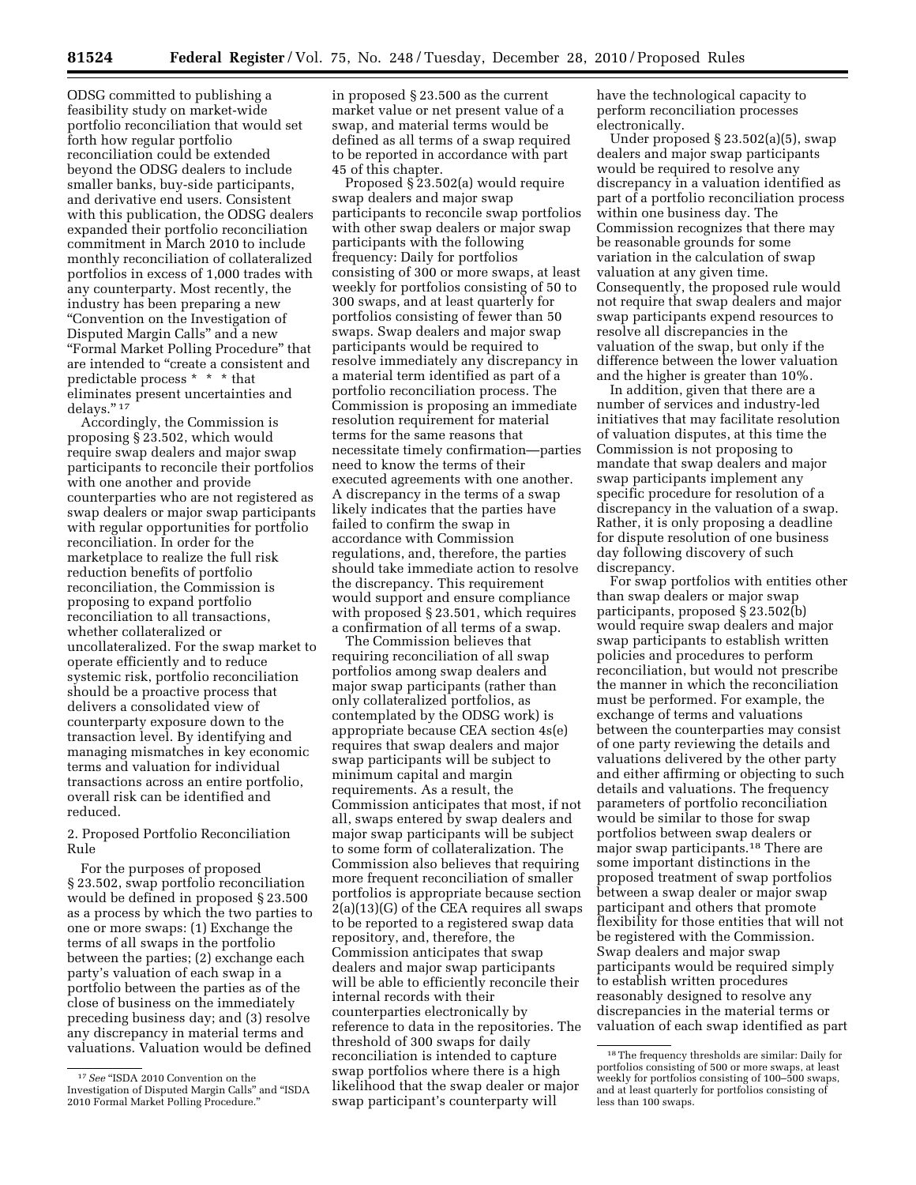ODSG committed to publishing a feasibility study on market-wide portfolio reconciliation that would set forth how regular portfolio reconciliation could be extended beyond the ODSG dealers to include smaller banks, buy-side participants, and derivative end users. Consistent with this publication, the ODSG dealers expanded their portfolio reconciliation commitment in March 2010 to include monthly reconciliation of collateralized portfolios in excess of 1,000 trades with any counterparty. Most recently, the industry has been preparing a new ''Convention on the Investigation of Disputed Margin Calls'' and a new ''Formal Market Polling Procedure'' that are intended to "create a consistent and predictable process \* \* \* that eliminates present uncertainties and delays."<sup>17</sup>

Accordingly, the Commission is proposing § 23.502, which would require swap dealers and major swap participants to reconcile their portfolios with one another and provide counterparties who are not registered as swap dealers or major swap participants with regular opportunities for portfolio reconciliation. In order for the marketplace to realize the full risk reduction benefits of portfolio reconciliation, the Commission is proposing to expand portfolio reconciliation to all transactions, whether collateralized or uncollateralized. For the swap market to operate efficiently and to reduce systemic risk, portfolio reconciliation should be a proactive process that delivers a consolidated view of counterparty exposure down to the transaction level. By identifying and managing mismatches in key economic terms and valuation for individual transactions across an entire portfolio, overall risk can be identified and reduced.

2. Proposed Portfolio Reconciliation Rule

For the purposes of proposed § 23.502, swap portfolio reconciliation would be defined in proposed § 23.500 as a process by which the two parties to one or more swaps: (1) Exchange the terms of all swaps in the portfolio between the parties; (2) exchange each party's valuation of each swap in a portfolio between the parties as of the close of business on the immediately preceding business day; and (3) resolve any discrepancy in material terms and valuations. Valuation would be defined

in proposed § 23.500 as the current market value or net present value of a swap, and material terms would be defined as all terms of a swap required to be reported in accordance with part 45 of this chapter.

Proposed § 23.502(a) would require swap dealers and major swap participants to reconcile swap portfolios with other swap dealers or major swap participants with the following frequency: Daily for portfolios consisting of 300 or more swaps, at least weekly for portfolios consisting of 50 to 300 swaps, and at least quarterly for portfolios consisting of fewer than 50 swaps. Swap dealers and major swap participants would be required to resolve immediately any discrepancy in a material term identified as part of a portfolio reconciliation process. The Commission is proposing an immediate resolution requirement for material terms for the same reasons that necessitate timely confirmation—parties need to know the terms of their executed agreements with one another. A discrepancy in the terms of a swap likely indicates that the parties have failed to confirm the swap in accordance with Commission regulations, and, therefore, the parties should take immediate action to resolve the discrepancy. This requirement would support and ensure compliance with proposed § 23.501, which requires a confirmation of all terms of a swap.

The Commission believes that requiring reconciliation of all swap portfolios among swap dealers and major swap participants (rather than only collateralized portfolios, as contemplated by the ODSG work) is appropriate because CEA section 4s(e) requires that swap dealers and major swap participants will be subject to minimum capital and margin requirements. As a result, the Commission anticipates that most, if not all, swaps entered by swap dealers and major swap participants will be subject to some form of collateralization. The Commission also believes that requiring more frequent reconciliation of smaller portfolios is appropriate because section 2(a)(13)(G) of the CEA requires all swaps to be reported to a registered swap data repository, and, therefore, the Commission anticipates that swap dealers and major swap participants will be able to efficiently reconcile their internal records with their counterparties electronically by reference to data in the repositories. The threshold of 300 swaps for daily reconciliation is intended to capture swap portfolios where there is a high likelihood that the swap dealer or major swap participant's counterparty will

have the technological capacity to perform reconciliation processes electronically.

Under proposed § 23.502(a)(5), swap dealers and major swap participants would be required to resolve any discrepancy in a valuation identified as part of a portfolio reconciliation process within one business day. The Commission recognizes that there may be reasonable grounds for some variation in the calculation of swap valuation at any given time. Consequently, the proposed rule would not require that swap dealers and major swap participants expend resources to resolve all discrepancies in the valuation of the swap, but only if the difference between the lower valuation and the higher is greater than 10%.

In addition, given that there are a number of services and industry-led initiatives that may facilitate resolution of valuation disputes, at this time the Commission is not proposing to mandate that swap dealers and major swap participants implement any specific procedure for resolution of a discrepancy in the valuation of a swap. Rather, it is only proposing a deadline for dispute resolution of one business day following discovery of such discrepancy.

For swap portfolios with entities other than swap dealers or major swap participants, proposed § 23.502(b) would require swap dealers and major swap participants to establish written policies and procedures to perform reconciliation, but would not prescribe the manner in which the reconciliation must be performed. For example, the exchange of terms and valuations between the counterparties may consist of one party reviewing the details and valuations delivered by the other party and either affirming or objecting to such details and valuations. The frequency parameters of portfolio reconciliation would be similar to those for swap portfolios between swap dealers or major swap participants.18 There are some important distinctions in the proposed treatment of swap portfolios between a swap dealer or major swap participant and others that promote flexibility for those entities that will not be registered with the Commission. Swap dealers and major swap participants would be required simply to establish written procedures reasonably designed to resolve any discrepancies in the material terms or valuation of each swap identified as part

 $^{17}\,See$  "ISDA 2010 Convention on the Investigation of Disputed Margin Calls'' and ''ISDA 2010 Formal Market Polling Procedure.''

<sup>18</sup>The frequency thresholds are similar: Daily for portfolios consisting of 500 or more swaps, at least weekly for portfolios consisting of 100–500 swaps, and at least quarterly for portfolios consisting of less than 100 swaps.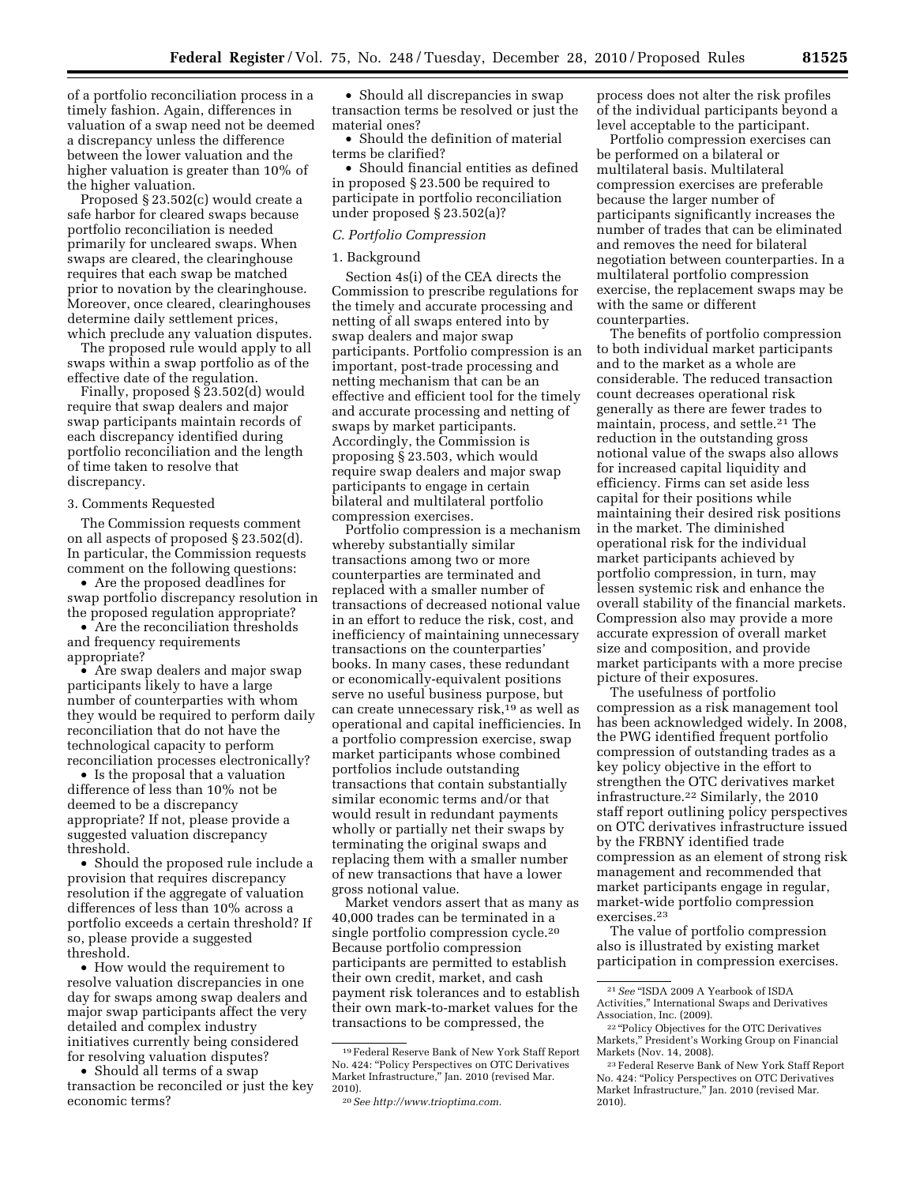of a portfolio reconciliation process in a timely fashion. Again, differences in valuation of a swap need not be deemed a discrepancy unless the difference between the lower valuation and the higher valuation is greater than 10% of the higher valuation.

Proposed § 23.502(c) would create a safe harbor for cleared swaps because portfolio reconciliation is needed primarily for uncleared swaps. When swaps are cleared, the clearinghouse requires that each swap be matched prior to novation by the clearinghouse. Moreover, once cleared, clearinghouses determine daily settlement prices, which preclude any valuation disputes.

The proposed rule would apply to all swaps within a swap portfolio as of the effective date of the regulation.

Finally, proposed § 23.502(d) would require that swap dealers and major swap participants maintain records of each discrepancy identified during portfolio reconciliation and the length of time taken to resolve that discrepancy.

#### 3. Comments Requested

The Commission requests comment on all aspects of proposed § 23.502(d). In particular, the Commission requests comment on the following questions:

• Are the proposed deadlines for swap portfolio discrepancy resolution in the proposed regulation appropriate?

• Are the reconciliation thresholds and frequency requirements appropriate?

• Are swap dealers and major swap participants likely to have a large number of counterparties with whom they would be required to perform daily reconciliation that do not have the technological capacity to perform reconciliation processes electronically?

• Is the proposal that a valuation difference of less than 10% not be deemed to be a discrepancy appropriate? If not, please provide a suggested valuation discrepancy threshold.

• Should the proposed rule include a provision that requires discrepancy resolution if the aggregate of valuation differences of less than 10% across a portfolio exceeds a certain threshold? If so, please provide a suggested threshold.

• How would the requirement to resolve valuation discrepancies in one day for swaps among swap dealers and major swap participants affect the very detailed and complex industry initiatives currently being considered for resolving valuation disputes?

• Should all terms of a swap transaction be reconciled or just the key economic terms?

• Should all discrepancies in swap transaction terms be resolved or just the material ones?

• Should the definition of material terms be clarified?

• Should financial entities as defined in proposed § 23.500 be required to participate in portfolio reconciliation under proposed § 23.502(a)?

#### *C. Portfolio Compression*

## 1. Background

Section 4s(i) of the CEA directs the Commission to prescribe regulations for the timely and accurate processing and netting of all swaps entered into by swap dealers and major swap participants. Portfolio compression is an important, post-trade processing and netting mechanism that can be an effective and efficient tool for the timely and accurate processing and netting of swaps by market participants. Accordingly, the Commission is proposing § 23.503, which would require swap dealers and major swap participants to engage in certain bilateral and multilateral portfolio compression exercises.

Portfolio compression is a mechanism whereby substantially similar transactions among two or more counterparties are terminated and replaced with a smaller number of transactions of decreased notional value in an effort to reduce the risk, cost, and inefficiency of maintaining unnecessary transactions on the counterparties' books. In many cases, these redundant or economically-equivalent positions serve no useful business purpose, but can create unnecessary risk,19 as well as operational and capital inefficiencies. In a portfolio compression exercise, swap market participants whose combined portfolios include outstanding transactions that contain substantially similar economic terms and/or that would result in redundant payments wholly or partially net their swaps by terminating the original swaps and replacing them with a smaller number of new transactions that have a lower gross notional value.

Market vendors assert that as many as 40,000 trades can be terminated in a single portfolio compression cycle.20 Because portfolio compression participants are permitted to establish their own credit, market, and cash payment risk tolerances and to establish their own mark-to-market values for the transactions to be compressed, the

process does not alter the risk profiles of the individual participants beyond a level acceptable to the participant.

Portfolio compression exercises can be performed on a bilateral or multilateral basis. Multilateral compression exercises are preferable because the larger number of participants significantly increases the number of trades that can be eliminated and removes the need for bilateral negotiation between counterparties. In a multilateral portfolio compression exercise, the replacement swaps may be with the same or different counterparties.

The benefits of portfolio compression to both individual market participants and to the market as a whole are considerable. The reduced transaction count decreases operational risk generally as there are fewer trades to maintain, process, and settle.21 The reduction in the outstanding gross notional value of the swaps also allows for increased capital liquidity and efficiency. Firms can set aside less capital for their positions while maintaining their desired risk positions in the market. The diminished operational risk for the individual market participants achieved by portfolio compression, in turn, may lessen systemic risk and enhance the overall stability of the financial markets. Compression also may provide a more accurate expression of overall market size and composition, and provide market participants with a more precise picture of their exposures.

The usefulness of portfolio compression as a risk management tool has been acknowledged widely. In 2008, the PWG identified frequent portfolio compression of outstanding trades as a key policy objective in the effort to strengthen the OTC derivatives market infrastructure.22 Similarly, the 2010 staff report outlining policy perspectives on OTC derivatives infrastructure issued by the FRBNY identified trade compression as an element of strong risk management and recommended that market participants engage in regular, market-wide portfolio compression exercises.23

The value of portfolio compression also is illustrated by existing market participation in compression exercises.

<sup>19</sup>Federal Reserve Bank of New York Staff Report No. 424: ''Policy Perspectives on OTC Derivatives Market Infrastructure,'' Jan. 2010 (revised Mar. 2010).

<sup>20</sup>*See [http://www.trioptima.com.](http://www.trioptima.com)* 

<sup>21</sup>*See* ''ISDA 2009 A Yearbook of ISDA Activities,'' International Swaps and Derivatives Association, Inc. (2009).

<sup>&</sup>lt;sup>22</sup> "Policy Objectives for the OTC Derivatives Markets,'' President's Working Group on Financial Markets (Nov. 14, 2008).

<sup>23</sup>Federal Reserve Bank of New York Staff Report No. 424: "Policy Perspectives on OTC Derivatives Market Infrastructure,'' Jan. 2010 (revised Mar. 2010).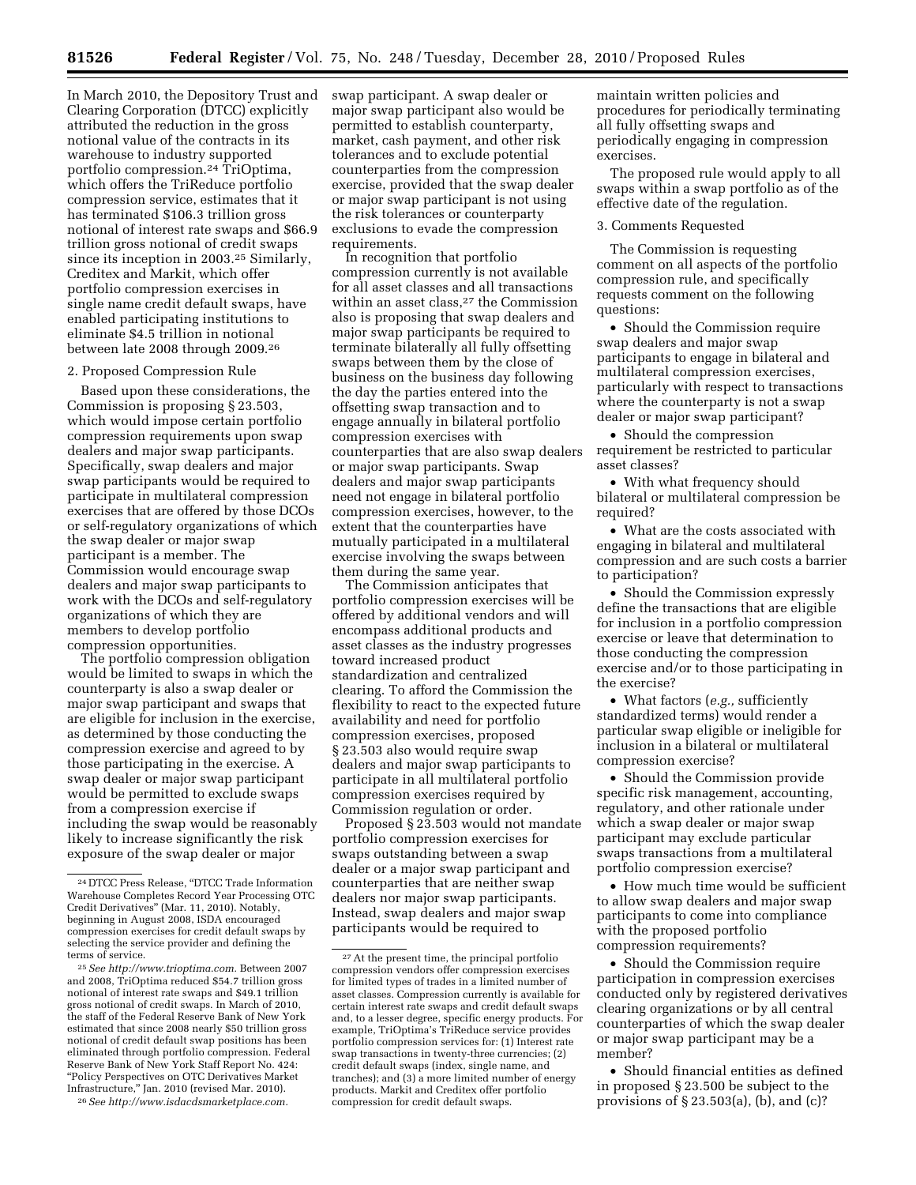In March 2010, the Depository Trust and Clearing Corporation (DTCC) explicitly attributed the reduction in the gross notional value of the contracts in its warehouse to industry supported portfolio compression.24 TriOptima, which offers the TriReduce portfolio compression service, estimates that it has terminated \$106.3 trillion gross notional of interest rate swaps and \$66.9 trillion gross notional of credit swaps since its inception in 2003.25 Similarly, Creditex and Markit, which offer portfolio compression exercises in single name credit default swaps, have enabled participating institutions to eliminate \$4.5 trillion in notional between late 2008 through 2009.26

#### 2. Proposed Compression Rule

Based upon these considerations, the Commission is proposing § 23.503, which would impose certain portfolio compression requirements upon swap dealers and major swap participants. Specifically, swap dealers and major swap participants would be required to participate in multilateral compression exercises that are offered by those DCOs or self-regulatory organizations of which the swap dealer or major swap participant is a member. The Commission would encourage swap dealers and major swap participants to work with the DCOs and self-regulatory organizations of which they are members to develop portfolio compression opportunities.

The portfolio compression obligation would be limited to swaps in which the counterparty is also a swap dealer or major swap participant and swaps that are eligible for inclusion in the exercise, as determined by those conducting the compression exercise and agreed to by those participating in the exercise. A swap dealer or major swap participant would be permitted to exclude swaps from a compression exercise if including the swap would be reasonably likely to increase significantly the risk exposure of the swap dealer or major

25*See [http://www.trioptima.com.](http://www.trioptima.com)* Between 2007 and 2008, TriOptima reduced \$54.7 trillion gross notional of interest rate swaps and \$49.1 trillion gross notional of credit swaps. In March of 2010, the staff of the Federal Reserve Bank of New York estimated that since 2008 nearly \$50 trillion gross notional of credit default swap positions has been eliminated through portfolio compression. Federal Reserve Bank of New York Staff Report No. 424: ''Policy Perspectives on OTC Derivatives Market Infrastructure,'' Jan. 2010 (revised Mar. 2010).

26*See [http://www.isdacdsmarketplace.com.](http://www.isdacdsmarketplace.com)* 

swap participant. A swap dealer or major swap participant also would be permitted to establish counterparty, market, cash payment, and other risk tolerances and to exclude potential counterparties from the compression exercise, provided that the swap dealer or major swap participant is not using the risk tolerances or counterparty exclusions to evade the compression requirements.

In recognition that portfolio compression currently is not available for all asset classes and all transactions within an asset class,<sup>27</sup> the Commission also is proposing that swap dealers and major swap participants be required to terminate bilaterally all fully offsetting swaps between them by the close of business on the business day following the day the parties entered into the offsetting swap transaction and to engage annually in bilateral portfolio compression exercises with counterparties that are also swap dealers or major swap participants. Swap dealers and major swap participants need not engage in bilateral portfolio compression exercises, however, to the extent that the counterparties have mutually participated in a multilateral exercise involving the swaps between them during the same year.

The Commission anticipates that portfolio compression exercises will be offered by additional vendors and will encompass additional products and asset classes as the industry progresses toward increased product standardization and centralized clearing. To afford the Commission the flexibility to react to the expected future availability and need for portfolio compression exercises, proposed § 23.503 also would require swap dealers and major swap participants to participate in all multilateral portfolio compression exercises required by Commission regulation or order.

Proposed § 23.503 would not mandate portfolio compression exercises for swaps outstanding between a swap dealer or a major swap participant and counterparties that are neither swap dealers nor major swap participants. Instead, swap dealers and major swap participants would be required to

maintain written policies and procedures for periodically terminating all fully offsetting swaps and periodically engaging in compression exercises.

The proposed rule would apply to all swaps within a swap portfolio as of the effective date of the regulation.

#### 3. Comments Requested

The Commission is requesting comment on all aspects of the portfolio compression rule, and specifically requests comment on the following questions:

• Should the Commission require swap dealers and major swap participants to engage in bilateral and multilateral compression exercises, particularly with respect to transactions where the counterparty is not a swap dealer or major swap participant?

• Should the compression requirement be restricted to particular asset classes?

• With what frequency should bilateral or multilateral compression be required?

• What are the costs associated with engaging in bilateral and multilateral compression and are such costs a barrier to participation?

• Should the Commission expressly define the transactions that are eligible for inclusion in a portfolio compression exercise or leave that determination to those conducting the compression exercise and/or to those participating in the exercise?

• What factors (*e.g.,* sufficiently standardized terms) would render a particular swap eligible or ineligible for inclusion in a bilateral or multilateral compression exercise?

• Should the Commission provide specific risk management, accounting, regulatory, and other rationale under which a swap dealer or major swap participant may exclude particular swaps transactions from a multilateral portfolio compression exercise?

• How much time would be sufficient to allow swap dealers and major swap participants to come into compliance with the proposed portfolio compression requirements?

• Should the Commission require participation in compression exercises conducted only by registered derivatives clearing organizations or by all central counterparties of which the swap dealer or major swap participant may be a member?

• Should financial entities as defined in proposed § 23.500 be subject to the provisions of § 23.503(a), (b), and (c)?

<sup>24</sup> DTCC Press Release, ''DTCC Trade Information Warehouse Completes Record Year Processing OTC Credit Derivatives'' (Mar. 11, 2010). Notably, beginning in August 2008, ISDA encouraged compression exercises for credit default swaps by selecting the service provider and defining the terms of service.

<sup>27</sup>At the present time, the principal portfolio compression vendors offer compression exercises for limited types of trades in a limited number of asset classes. Compression currently is available for certain interest rate swaps and credit default swaps and, to a lesser degree, specific energy products. For example, TriOptima's TriReduce service provides portfolio compression services for: (1) Interest rate swap transactions in twenty-three currencies; (2) credit default swaps (index, single name, and tranches); and (3) a more limited number of energy products. Markit and Creditex offer portfolio compression for credit default swaps.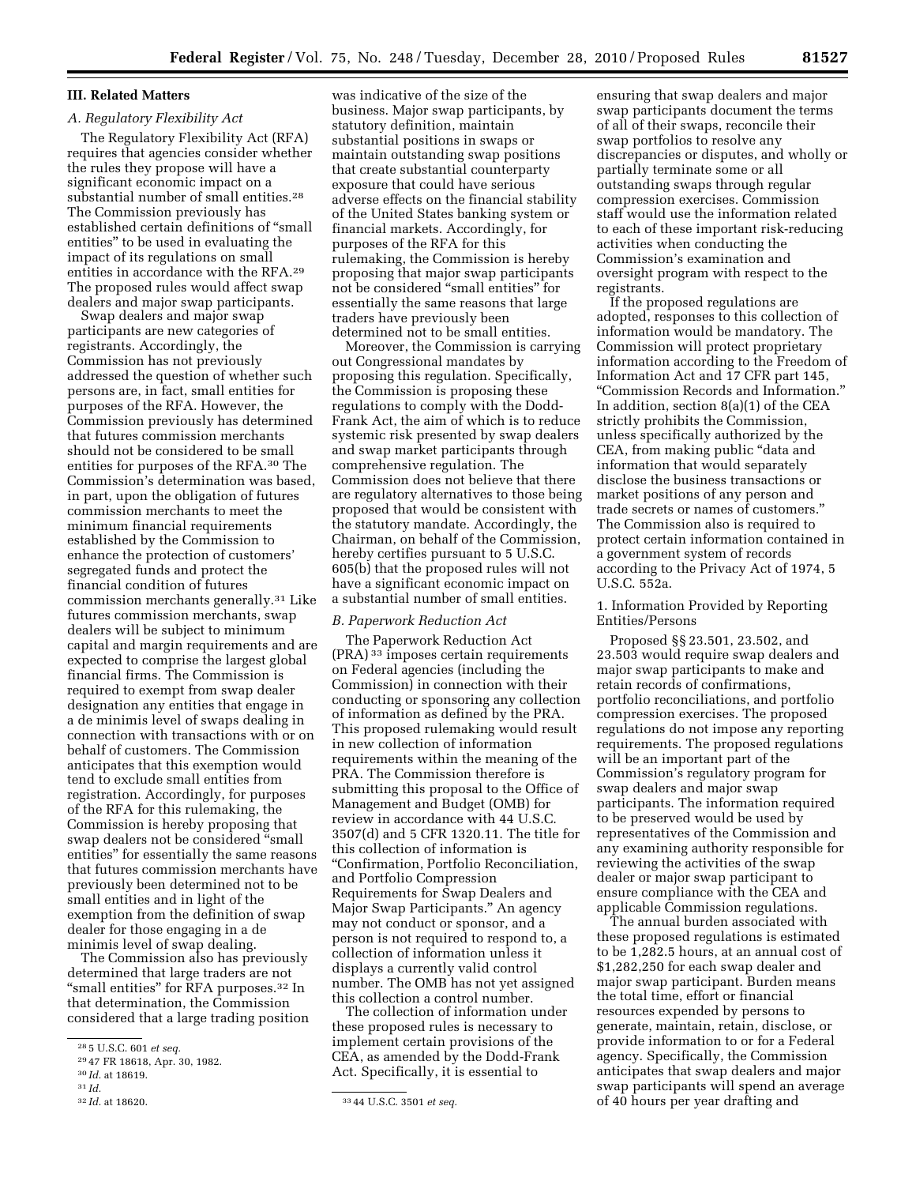# **III. Related Matters**

# *A. Regulatory Flexibility Act*

The Regulatory Flexibility Act (RFA) requires that agencies consider whether the rules they propose will have a significant economic impact on a substantial number of small entities.28 The Commission previously has established certain definitions of ''small entities'' to be used in evaluating the impact of its regulations on small entities in accordance with the RFA.29 The proposed rules would affect swap dealers and major swap participants.

Swap dealers and major swap participants are new categories of registrants. Accordingly, the Commission has not previously addressed the question of whether such persons are, in fact, small entities for purposes of the RFA. However, the Commission previously has determined that futures commission merchants should not be considered to be small entities for purposes of the RFA.30 The Commission's determination was based, in part, upon the obligation of futures commission merchants to meet the minimum financial requirements established by the Commission to enhance the protection of customers' segregated funds and protect the financial condition of futures commission merchants generally.31 Like futures commission merchants, swap dealers will be subject to minimum capital and margin requirements and are expected to comprise the largest global financial firms. The Commission is required to exempt from swap dealer designation any entities that engage in a de minimis level of swaps dealing in connection with transactions with or on behalf of customers. The Commission anticipates that this exemption would tend to exclude small entities from registration. Accordingly, for purposes of the RFA for this rulemaking, the Commission is hereby proposing that swap dealers not be considered ''small entities'' for essentially the same reasons that futures commission merchants have previously been determined not to be small entities and in light of the exemption from the definition of swap dealer for those engaging in a de minimis level of swap dealing.

The Commission also has previously determined that large traders are not "small entities" for RFA purposes.<sup>32</sup> In that determination, the Commission considered that a large trading position

was indicative of the size of the business. Major swap participants, by statutory definition, maintain substantial positions in swaps or maintain outstanding swap positions that create substantial counterparty exposure that could have serious adverse effects on the financial stability of the United States banking system or financial markets. Accordingly, for purposes of the RFA for this rulemaking, the Commission is hereby proposing that major swap participants not be considered ''small entities'' for essentially the same reasons that large traders have previously been determined not to be small entities.

Moreover, the Commission is carrying out Congressional mandates by proposing this regulation. Specifically, the Commission is proposing these regulations to comply with the Dodd-Frank Act, the aim of which is to reduce systemic risk presented by swap dealers and swap market participants through comprehensive regulation. The Commission does not believe that there are regulatory alternatives to those being proposed that would be consistent with the statutory mandate. Accordingly, the Chairman, on behalf of the Commission, hereby certifies pursuant to 5 U.S.C. 605(b) that the proposed rules will not have a significant economic impact on a substantial number of small entities.

# *B. Paperwork Reduction Act*

The Paperwork Reduction Act (PRA) 33 imposes certain requirements on Federal agencies (including the Commission) in connection with their conducting or sponsoring any collection of information as defined by the PRA. This proposed rulemaking would result in new collection of information requirements within the meaning of the PRA. The Commission therefore is submitting this proposal to the Office of Management and Budget (OMB) for review in accordance with 44 U.S.C. 3507(d) and 5 CFR 1320.11. The title for this collection of information is ''Confirmation, Portfolio Reconciliation, and Portfolio Compression Requirements for Swap Dealers and Major Swap Participants.'' An agency may not conduct or sponsor, and a person is not required to respond to, a collection of information unless it displays a currently valid control number. The OMB has not yet assigned this collection a control number.

The collection of information under these proposed rules is necessary to implement certain provisions of the CEA, as amended by the Dodd-Frank Act. Specifically, it is essential to

ensuring that swap dealers and major swap participants document the terms of all of their swaps, reconcile their swap portfolios to resolve any discrepancies or disputes, and wholly or partially terminate some or all outstanding swaps through regular compression exercises. Commission staff would use the information related to each of these important risk-reducing activities when conducting the Commission's examination and oversight program with respect to the registrants.

If the proposed regulations are adopted, responses to this collection of information would be mandatory. The Commission will protect proprietary information according to the Freedom of Information Act and 17 CFR part 145, ''Commission Records and Information.'' In addition, section 8(a)(1) of the CEA strictly prohibits the Commission, unless specifically authorized by the CEA, from making public ''data and information that would separately disclose the business transactions or market positions of any person and trade secrets or names of customers.'' The Commission also is required to protect certain information contained in a government system of records according to the Privacy Act of 1974, 5 U.S.C. 552a.

# 1. Information Provided by Reporting Entities/Persons

Proposed §§ 23.501, 23.502, and 23.503 would require swap dealers and major swap participants to make and retain records of confirmations, portfolio reconciliations, and portfolio compression exercises. The proposed regulations do not impose any reporting requirements. The proposed regulations will be an important part of the Commission's regulatory program for swap dealers and major swap participants. The information required to be preserved would be used by representatives of the Commission and any examining authority responsible for reviewing the activities of the swap dealer or major swap participant to ensure compliance with the CEA and applicable Commission regulations.

The annual burden associated with these proposed regulations is estimated to be 1,282.5 hours, at an annual cost of \$1,282,250 for each swap dealer and major swap participant. Burden means the total time, effort or financial resources expended by persons to generate, maintain, retain, disclose, or provide information to or for a Federal agency. Specifically, the Commission anticipates that swap dealers and major swap participants will spend an average of 40 hours per year drafting and

<sup>28</sup> 5 U.S.C. 601 *et seq.* 

<sup>29</sup> 47 FR 18618, Apr. 30, 1982.

<sup>30</sup> *Id.* at 18619.

<sup>31</sup> *Id.* 

<sup>32</sup> *Id.* at 18620. 33 44 U.S.C. 3501 *et seq.*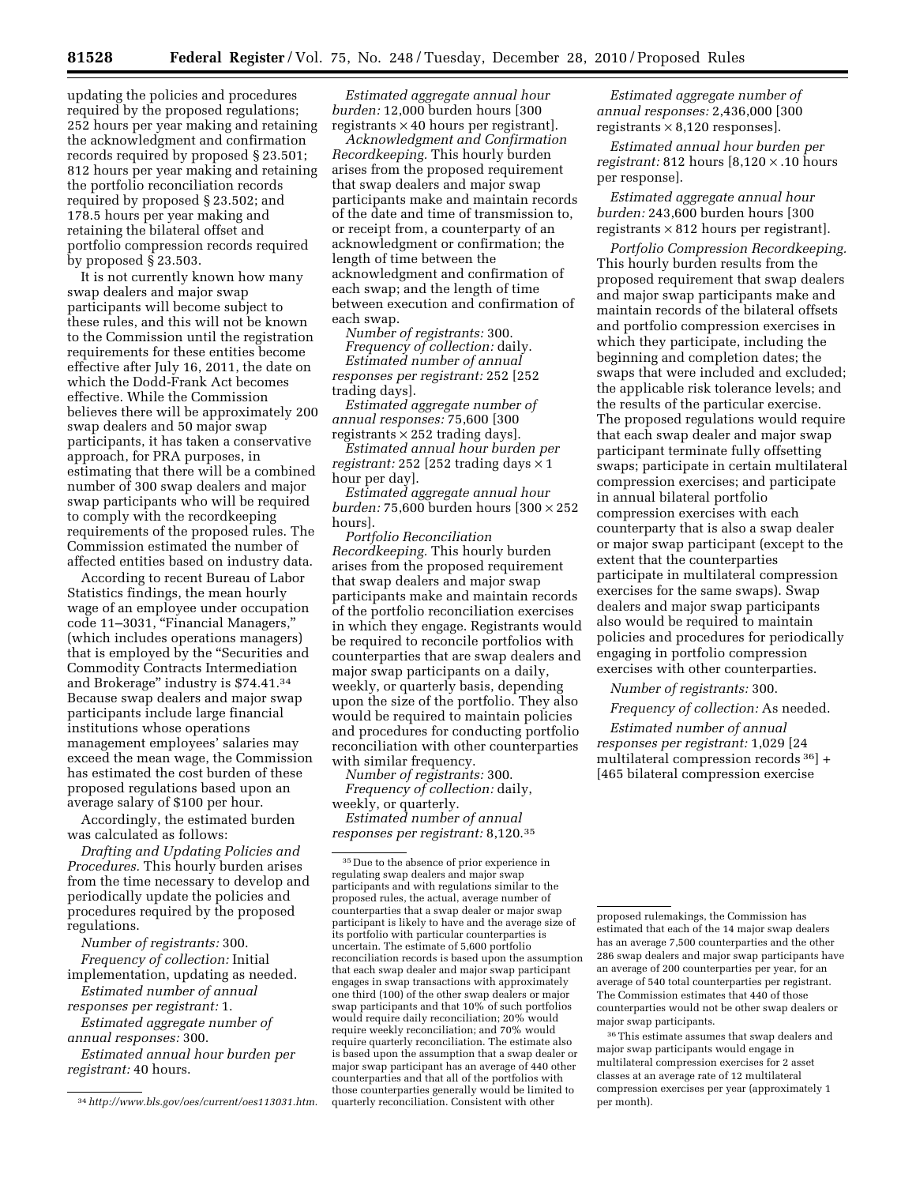updating the policies and procedures required by the proposed regulations; 252 hours per year making and retaining the acknowledgment and confirmation records required by proposed § 23.501; 812 hours per year making and retaining the portfolio reconciliation records required by proposed § 23.502; and 178.5 hours per year making and retaining the bilateral offset and portfolio compression records required by proposed § 23.503.

It is not currently known how many swap dealers and major swap participants will become subject to these rules, and this will not be known to the Commission until the registration requirements for these entities become effective after July 16, 2011, the date on which the Dodd-Frank Act becomes effective. While the Commission believes there will be approximately 200 swap dealers and 50 major swap participants, it has taken a conservative approach, for PRA purposes, in estimating that there will be a combined number of 300 swap dealers and major swap participants who will be required to comply with the recordkeeping requirements of the proposed rules. The Commission estimated the number of affected entities based on industry data.

According to recent Bureau of Labor Statistics findings, the mean hourly wage of an employee under occupation code 11–3031, ''Financial Managers,'' (which includes operations managers) that is employed by the ''Securities and Commodity Contracts Intermediation and Brokerage'' industry is \$74.41.34 Because swap dealers and major swap participants include large financial institutions whose operations management employees' salaries may exceed the mean wage, the Commission has estimated the cost burden of these proposed regulations based upon an average salary of \$100 per hour.

Accordingly, the estimated burden was calculated as follows:

*Drafting and Updating Policies and Procedures.* This hourly burden arises from the time necessary to develop and periodically update the policies and procedures required by the proposed regulations.

*Number of registrants:* 300. *Frequency of collection:* Initial

implementation, updating as needed. *Estimated number of annual* 

*responses per registrant:* 1. *Estimated aggregate number of* 

*annual responses:* 300.

*Estimated annual hour burden per registrant:* 40 hours.

*Estimated aggregate annual hour burden:* 12,000 burden hours [300 registrants  $\times$  40 hours per registrant.

*Acknowledgment and Confirmation Recordkeeping.* This hourly burden arises from the proposed requirement that swap dealers and major swap participants make and maintain records of the date and time of transmission to, or receipt from, a counterparty of an acknowledgment or confirmation; the length of time between the acknowledgment and confirmation of each swap; and the length of time between execution and confirmation of each swap.

*Number of registrants:* 300.

*Frequency of collection:* daily. *Estimated number of annual responses per registrant:* 252 [252 trading days].

*Estimated aggregate number of annual responses:* 75,600 [300 registrants  $\times$  252 trading days].

*Estimated annual hour burden per registrant:* 252 [252 trading days  $\times$  1 hour per day.

*Estimated aggregate annual hour burden:* 75,600 burden hours [300 × 252 hours].

*Portfolio Reconciliation Recordkeeping.* This hourly burden arises from the proposed requirement that swap dealers and major swap participants make and maintain records of the portfolio reconciliation exercises in which they engage. Registrants would be required to reconcile portfolios with counterparties that are swap dealers and major swap participants on a daily, weekly, or quarterly basis, depending upon the size of the portfolio. They also would be required to maintain policies and procedures for conducting portfolio reconciliation with other counterparties with similar frequency.

*Number of registrants:* 300. *Frequency of collection:* daily, weekly, or quarterly.

*Estimated number of annual responses per registrant:* 8,120.35

*Estimated aggregate number of annual responses:* 2,436,000 [300 registrants  $\times$  8,120 responses].

*Estimated annual hour burden per registrant:* 812 hours [8,120 × .10 hours per response].

*Estimated aggregate annual hour burden:* 243,600 burden hours [300 registrants  $\times$  812 hours per registrant].

*Portfolio Compression Recordkeeping.*  This hourly burden results from the proposed requirement that swap dealers and major swap participants make and maintain records of the bilateral offsets and portfolio compression exercises in which they participate, including the beginning and completion dates; the swaps that were included and excluded; the applicable risk tolerance levels; and the results of the particular exercise. The proposed regulations would require that each swap dealer and major swap participant terminate fully offsetting swaps; participate in certain multilateral compression exercises; and participate in annual bilateral portfolio compression exercises with each counterparty that is also a swap dealer or major swap participant (except to the extent that the counterparties participate in multilateral compression exercises for the same swaps). Swap dealers and major swap participants also would be required to maintain policies and procedures for periodically engaging in portfolio compression exercises with other counterparties.

*Number of registrants:* 300.

*Frequency of collection:* As needed.

*Estimated number of annual responses per registrant:* 1,029 [24 multilateral compression records 36] + [465 bilateral compression exercise

36This estimate assumes that swap dealers and major swap participants would engage in multilateral compression exercises for 2 asset classes at an average rate of 12 multilateral compression exercises per year (approximately 1 per month).

<sup>34</sup>*[http://www.bls.gov/oes/current/oes113031.htm.](http://www.bls.gov/oes/current/oes113031.htm)* 

 $^{\rm 35}\rm{Due}$  to the absence of prior experience in regulating swap dealers and major swap participants and with regulations similar to the proposed rules, the actual, average number of counterparties that a swap dealer or major swap participant is likely to have and the average size of its portfolio with particular counterparties is uncertain. The estimate of 5,600 portfolio reconciliation records is based upon the assumption that each swap dealer and major swap participant engages in swap transactions with approximately one third (100) of the other swap dealers or major swap participants and that 10% of such portfolios would require daily reconciliation; 20% would require weekly reconciliation; and 70% would require quarterly reconciliation. The estimate also is based upon the assumption that a swap dealer or major swap participant has an average of 440 other counterparties and that all of the portfolios with those counterparties generally would be limited to quarterly reconciliation. Consistent with other

proposed rulemakings, the Commission has estimated that each of the 14 major swap dealers has an average 7,500 counterparties and the other 286 swap dealers and major swap participants have an average of 200 counterparties per year, for an average of 540 total counterparties per registrant. The Commission estimates that 440 of those counterparties would not be other swap dealers or major swap participants.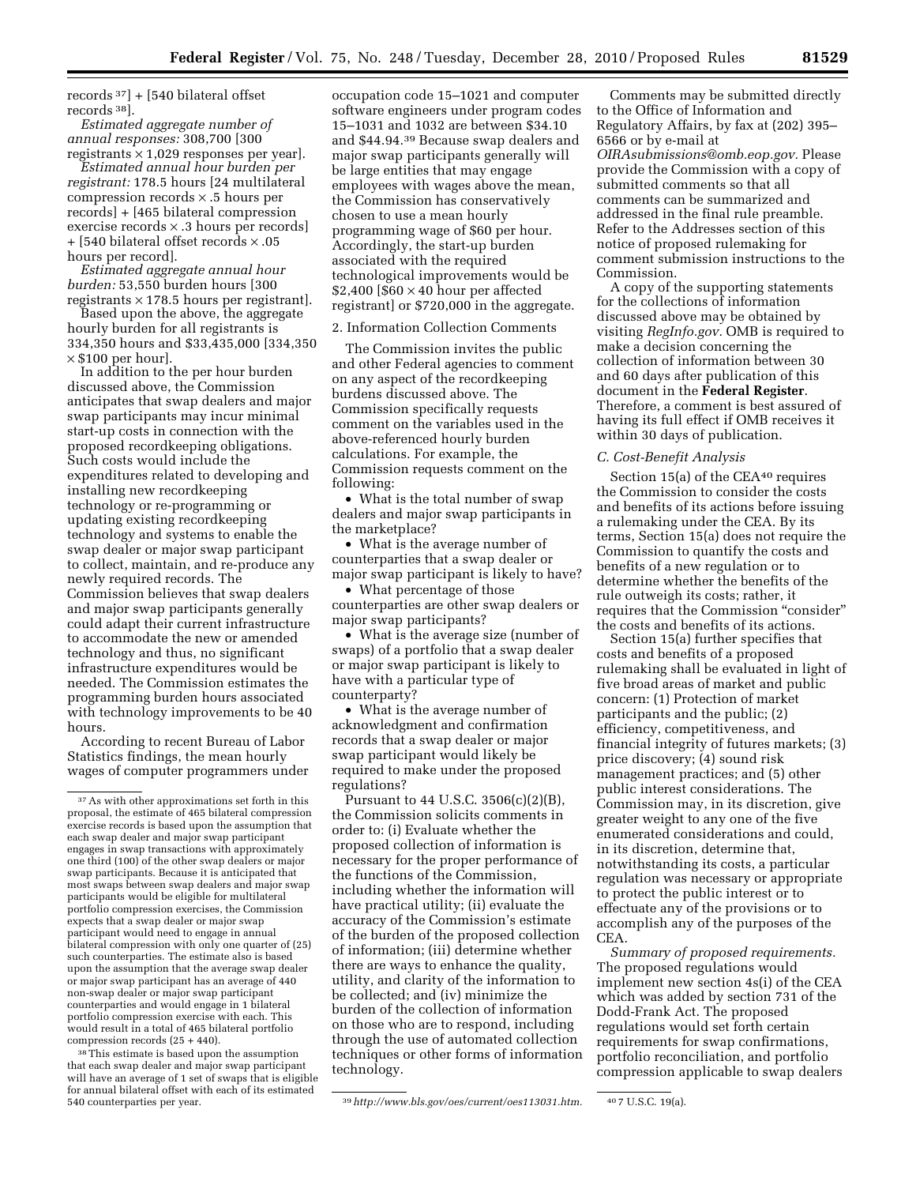records  $37$  + [540 bilateral offset records 38].

*Estimated aggregate number of annual responses:* 308,700 [300 registrants  $\times$  1,029 responses per year].

*Estimated annual hour burden per registrant:* 178.5 hours [24 multilateral compression records × .5 hours per records] + [465 bilateral compression exercise records × .3 hours per records] + [540 bilateral offset records × .05 hours per record].

*Estimated aggregate annual hour burden:* 53,550 burden hours [300 registrants  $\times$  178.5 hours per registrant.

Based upon the above, the aggregate hourly burden for all registrants is 334,350 hours and \$33,435,000 [334,350  $\times$  \$100 per hour].

In addition to the per hour burden discussed above, the Commission anticipates that swap dealers and major swap participants may incur minimal start-up costs in connection with the proposed recordkeeping obligations. Such costs would include the expenditures related to developing and installing new recordkeeping technology or re-programming or updating existing recordkeeping technology and systems to enable the swap dealer or major swap participant to collect, maintain, and re-produce any newly required records. The Commission believes that swap dealers and major swap participants generally could adapt their current infrastructure to accommodate the new or amended technology and thus, no significant infrastructure expenditures would be needed. The Commission estimates the programming burden hours associated with technology improvements to be 40 hours.

According to recent Bureau of Labor Statistics findings, the mean hourly wages of computer programmers under

38This estimate is based upon the assumption that each swap dealer and major swap participant will have an average of 1 set of swaps that is eligible for annual bilateral offset with each of its estimated

occupation code 15–1021 and computer software engineers under program codes 15–1031 and 1032 are between \$34.10 and \$44.94.39 Because swap dealers and major swap participants generally will be large entities that may engage employees with wages above the mean, the Commission has conservatively chosen to use a mean hourly programming wage of \$60 per hour. Accordingly, the start-up burden associated with the required technological improvements would be  $$2,400$   $$60 \times 40$  hour per affected registrant] or \$720,000 in the aggregate.

2. Information Collection Comments

The Commission invites the public and other Federal agencies to comment on any aspect of the recordkeeping burdens discussed above. The Commission specifically requests comment on the variables used in the above-referenced hourly burden calculations. For example, the Commission requests comment on the following:

• What is the total number of swap dealers and major swap participants in the marketplace?

• What is the average number of counterparties that a swap dealer or major swap participant is likely to have?

• What percentage of those counterparties are other swap dealers or major swap participants?

• What is the average size (number of swaps) of a portfolio that a swap dealer or major swap participant is likely to have with a particular type of counterparty?

• What is the average number of acknowledgment and confirmation records that a swap dealer or major swap participant would likely be required to make under the proposed regulations?

Pursuant to 44 U.S.C. 3506(c)(2)(B), the Commission solicits comments in order to: (i) Evaluate whether the proposed collection of information is necessary for the proper performance of the functions of the Commission, including whether the information will have practical utility; (ii) evaluate the accuracy of the Commission's estimate of the burden of the proposed collection of information; (iii) determine whether there are ways to enhance the quality, utility, and clarity of the information to be collected; and (iv) minimize the burden of the collection of information on those who are to respond, including through the use of automated collection techniques or other forms of information technology.

Comments may be submitted directly to the Office of Information and Regulatory Affairs, by fax at (202) 395– 6566 or by e-mail at *[OIRAsubmissions@omb.eop.gov.](mailto:OIRAsubmissions@omb.eop.gov)* Please provide the Commission with a copy of submitted comments so that all comments can be summarized and addressed in the final rule preamble. Refer to the Addresses section of this notice of proposed rulemaking for comment submission instructions to the Commission.

A copy of the supporting statements for the collections of information discussed above may be obtained by visiting *RegInfo.gov.* OMB is required to make a decision concerning the collection of information between 30 and 60 days after publication of this document in the **Federal Register**. Therefore, a comment is best assured of having its full effect if OMB receives it within 30 days of publication.

#### *C. Cost-Benefit Analysis*

Section 15(a) of the CEA<sup>40</sup> requires the Commission to consider the costs and benefits of its actions before issuing a rulemaking under the CEA. By its terms, Section 15(a) does not require the Commission to quantify the costs and benefits of a new regulation or to determine whether the benefits of the rule outweigh its costs; rather, it requires that the Commission "consider" the costs and benefits of its actions.

Section 15(a) further specifies that costs and benefits of a proposed rulemaking shall be evaluated in light of five broad areas of market and public concern: (1) Protection of market participants and the public; (2) efficiency, competitiveness, and financial integrity of futures markets; (3) price discovery; (4) sound risk management practices; and (5) other public interest considerations. The Commission may, in its discretion, give greater weight to any one of the five enumerated considerations and could, in its discretion, determine that, notwithstanding its costs, a particular regulation was necessary or appropriate to protect the public interest or to effectuate any of the provisions or to accomplish any of the purposes of the CEA.

*Summary of proposed requirements.*  The proposed regulations would implement new section 4s(i) of the CEA which was added by section 731 of the Dodd-Frank Act. The proposed regulations would set forth certain requirements for swap confirmations, portfolio reconciliation, and portfolio compression applicable to swap dealers

<sup>37</sup>As with other approximations set forth in this proposal, the estimate of 465 bilateral compression exercise records is based upon the assumption that each swap dealer and major swap participant engages in swap transactions with approximately one third (100) of the other swap dealers or major swap participants. Because it is anticipated that most swaps between swap dealers and major swap participants would be eligible for multilateral portfolio compression exercises, the Commission expects that a swap dealer or major swap participant would need to engage in annual bilateral compression with only one quarter of (25) such counterparties. The estimate also is based upon the assumption that the average swap dealer or major swap participant has an average of 440 non-swap dealer or major swap participant counterparties and would engage in 1 bilateral portfolio compression exercise with each. This would result in a total of 465 bilateral portfolio compression records (25 + 440).

<sup>540</sup> counterparties per year. 39*[http://www.bls.gov/oes/current/oes113031.htm.](http://www.bls.gov/oes/current/oes113031.htm)* 40 7 U.S.C. 19(a).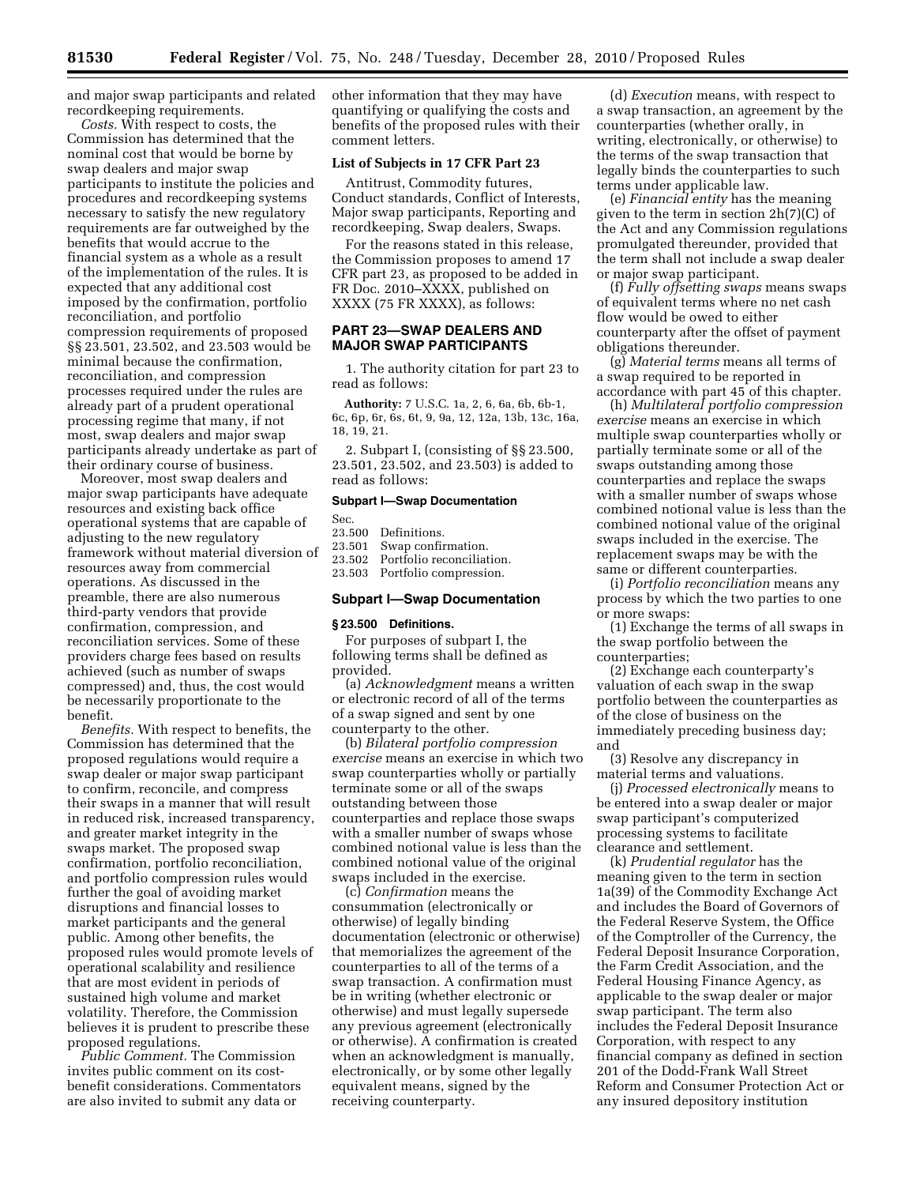and major swap participants and related recordkeeping requirements.

*Costs.* With respect to costs, the Commission has determined that the nominal cost that would be borne by swap dealers and major swap participants to institute the policies and procedures and recordkeeping systems necessary to satisfy the new regulatory requirements are far outweighed by the benefits that would accrue to the financial system as a whole as a result of the implementation of the rules. It is expected that any additional cost imposed by the confirmation, portfolio reconciliation, and portfolio compression requirements of proposed §§ 23.501, 23.502, and 23.503 would be minimal because the confirmation, reconciliation, and compression processes required under the rules are already part of a prudent operational processing regime that many, if not most, swap dealers and major swap participants already undertake as part of their ordinary course of business.

Moreover, most swap dealers and major swap participants have adequate resources and existing back office operational systems that are capable of adjusting to the new regulatory framework without material diversion of resources away from commercial operations. As discussed in the preamble, there are also numerous third-party vendors that provide confirmation, compression, and reconciliation services. Some of these providers charge fees based on results achieved (such as number of swaps compressed) and, thus, the cost would be necessarily proportionate to the benefit.

*Benefits.* With respect to benefits, the Commission has determined that the proposed regulations would require a swap dealer or major swap participant to confirm, reconcile, and compress their swaps in a manner that will result in reduced risk, increased transparency, and greater market integrity in the swaps market. The proposed swap confirmation, portfolio reconciliation, and portfolio compression rules would further the goal of avoiding market disruptions and financial losses to market participants and the general public. Among other benefits, the proposed rules would promote levels of operational scalability and resilience that are most evident in periods of sustained high volume and market volatility. Therefore, the Commission believes it is prudent to prescribe these proposed regulations.

*Public Comment.* The Commission invites public comment on its costbenefit considerations. Commentators are also invited to submit any data or

other information that they may have quantifying or qualifying the costs and benefits of the proposed rules with their comment letters.

# **List of Subjects in 17 CFR Part 23**

Antitrust, Commodity futures, Conduct standards, Conflict of Interests, Major swap participants, Reporting and recordkeeping, Swap dealers, Swaps.

For the reasons stated in this release, the Commission proposes to amend 17 CFR part 23, as proposed to be added in FR Doc. 2010–XXXX, published on XXXX (75 FR XXXX), as follows:

# **PART 23—SWAP DEALERS AND MAJOR SWAP PARTICIPANTS**

1. The authority citation for part 23 to read as follows:

**Authority:** 7 U.S.C. 1a, 2, 6, 6a, 6b, 6b-1, 6c, 6p, 6r, 6s, 6t, 9, 9a, 12, 12a, 13b, 13c, 16a, 18, 19, 21.

2. Subpart I, (consisting of §§ 23.500, 23.501, 23.502, and 23.503) is added to read as follows:

## **Subpart I—Swap Documentation**

Sec.

| 23.500 | Definitions. |  |
|--------|--------------|--|
|        |              |  |

23.501 Swap confirmation.<br>23.502 Portfolio reconciliat

Portfolio reconciliation. 23.503 Portfolio compression.

## **Subpart I—Swap Documentation**

#### **§ 23.500 Definitions.**

For purposes of subpart I, the following terms shall be defined as provided.

(a) *Acknowledgment* means a written or electronic record of all of the terms of a swap signed and sent by one counterparty to the other.

(b) *Bilateral portfolio compression exercise* means an exercise in which two swap counterparties wholly or partially terminate some or all of the swaps outstanding between those counterparties and replace those swaps with a smaller number of swaps whose combined notional value is less than the combined notional value of the original swaps included in the exercise.

(c) *Confirmation* means the consummation (electronically or otherwise) of legally binding documentation (electronic or otherwise) that memorializes the agreement of the counterparties to all of the terms of a swap transaction. A confirmation must be in writing (whether electronic or otherwise) and must legally supersede any previous agreement (electronically or otherwise). A confirmation is created when an acknowledgment is manually, electronically, or by some other legally equivalent means, signed by the receiving counterparty.

(d) *Execution* means, with respect to a swap transaction, an agreement by the counterparties (whether orally, in writing, electronically, or otherwise) to the terms of the swap transaction that legally binds the counterparties to such terms under applicable law.

(e) *Financial entity* has the meaning given to the term in section 2h(7)(C) of the Act and any Commission regulations promulgated thereunder, provided that the term shall not include a swap dealer or major swap participant.

(f) *Fully offsetting swaps* means swaps of equivalent terms where no net cash flow would be owed to either counterparty after the offset of payment obligations thereunder.

(g) *Material terms* means all terms of a swap required to be reported in accordance with part 45 of this chapter.

(h) *Multilateral portfolio compression exercise* means an exercise in which multiple swap counterparties wholly or partially terminate some or all of the swaps outstanding among those counterparties and replace the swaps with a smaller number of swaps whose combined notional value is less than the combined notional value of the original swaps included in the exercise. The replacement swaps may be with the same or different counterparties.

(i) *Portfolio reconciliation* means any process by which the two parties to one or more swaps:

(1) Exchange the terms of all swaps in the swap portfolio between the counterparties;

(2) Exchange each counterparty's valuation of each swap in the swap portfolio between the counterparties as of the close of business on the immediately preceding business day; and

(3) Resolve any discrepancy in material terms and valuations.

(j) *Processed electronically* means to be entered into a swap dealer or major swap participant's computerized processing systems to facilitate clearance and settlement.

(k) *Prudential regulator* has the meaning given to the term in section 1a(39) of the Commodity Exchange Act and includes the Board of Governors of the Federal Reserve System, the Office of the Comptroller of the Currency, the Federal Deposit Insurance Corporation, the Farm Credit Association, and the Federal Housing Finance Agency, as applicable to the swap dealer or major swap participant. The term also includes the Federal Deposit Insurance Corporation, with respect to any financial company as defined in section 201 of the Dodd-Frank Wall Street Reform and Consumer Protection Act or any insured depository institution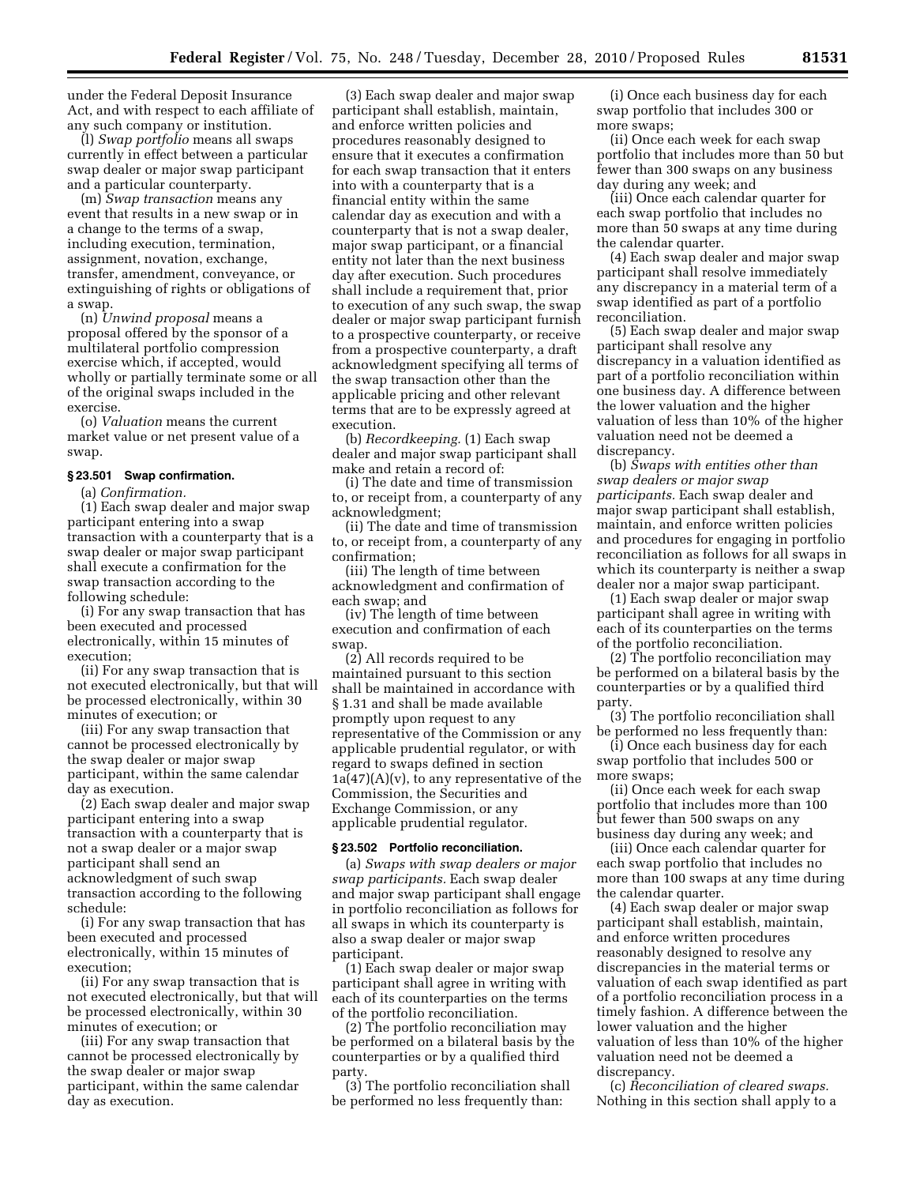under the Federal Deposit Insurance Act, and with respect to each affiliate of any such company or institution.

(l) *Swap portfolio* means all swaps currently in effect between a particular swap dealer or major swap participant and a particular counterparty.

(m) *Swap transaction* means any event that results in a new swap or in a change to the terms of a swap, including execution, termination, assignment, novation, exchange, transfer, amendment, conveyance, or extinguishing of rights or obligations of a swap.

(n) *Unwind proposal* means a proposal offered by the sponsor of a multilateral portfolio compression exercise which, if accepted, would wholly or partially terminate some or all of the original swaps included in the exercise.

(o) *Valuation* means the current market value or net present value of a swap.

#### **§ 23.501 Swap confirmation.**

(a) *Confirmation.* 

(1) Each swap dealer and major swap participant entering into a swap transaction with a counterparty that is a swap dealer or major swap participant shall execute a confirmation for the swap transaction according to the following schedule:

(i) For any swap transaction that has been executed and processed electronically, within 15 minutes of execution;

(ii) For any swap transaction that is not executed electronically, but that will be processed electronically, within 30 minutes of execution; or

(iii) For any swap transaction that cannot be processed electronically by the swap dealer or major swap participant, within the same calendar day as execution.

(2) Each swap dealer and major swap participant entering into a swap transaction with a counterparty that is not a swap dealer or a major swap participant shall send an acknowledgment of such swap transaction according to the following schedule:

(i) For any swap transaction that has been executed and processed electronically, within 15 minutes of execution;

(ii) For any swap transaction that is not executed electronically, but that will be processed electronically, within 30 minutes of execution; or

(iii) For any swap transaction that cannot be processed electronically by the swap dealer or major swap participant, within the same calendar day as execution.

(3) Each swap dealer and major swap participant shall establish, maintain, and enforce written policies and procedures reasonably designed to ensure that it executes a confirmation for each swap transaction that it enters into with a counterparty that is a financial entity within the same calendar day as execution and with a counterparty that is not a swap dealer, major swap participant, or a financial entity not later than the next business day after execution. Such procedures shall include a requirement that, prior to execution of any such swap, the swap dealer or major swap participant furnish to a prospective counterparty, or receive from a prospective counterparty, a draft acknowledgment specifying all terms of the swap transaction other than the applicable pricing and other relevant terms that are to be expressly agreed at execution.

(b) *Recordkeeping.* (1) Each swap dealer and major swap participant shall make and retain a record of:

(i) The date and time of transmission to, or receipt from, a counterparty of any acknowledgment;

(ii) The date and time of transmission to, or receipt from, a counterparty of any confirmation;

(iii) The length of time between acknowledgment and confirmation of each swap; and

(iv) The length of time between execution and confirmation of each swap

(2) All records required to be maintained pursuant to this section shall be maintained in accordance with § 1.31 and shall be made available promptly upon request to any representative of the Commission or any applicable prudential regulator, or with regard to swaps defined in section  $1a(47)(A)(v)$ , to any representative of the Commission, the Securities and Exchange Commission, or any applicable prudential regulator.

#### **§ 23.502 Portfolio reconciliation.**

(a) *Swaps with swap dealers or major swap participants.* Each swap dealer and major swap participant shall engage in portfolio reconciliation as follows for all swaps in which its counterparty is also a swap dealer or major swap participant.

(1) Each swap dealer or major swap participant shall agree in writing with each of its counterparties on the terms of the portfolio reconciliation.

(2) The portfolio reconciliation may be performed on a bilateral basis by the counterparties or by a qualified third party.

(3) The portfolio reconciliation shall be performed no less frequently than:

(i) Once each business day for each swap portfolio that includes 300 or more swaps;

(ii) Once each week for each swap portfolio that includes more than 50 but fewer than 300 swaps on any business day during any week; and

(iii) Once each calendar quarter for each swap portfolio that includes no more than 50 swaps at any time during the calendar quarter.

(4) Each swap dealer and major swap participant shall resolve immediately any discrepancy in a material term of a swap identified as part of a portfolio reconciliation.

(5) Each swap dealer and major swap participant shall resolve any discrepancy in a valuation identified as part of a portfolio reconciliation within one business day. A difference between the lower valuation and the higher valuation of less than 10% of the higher valuation need not be deemed a discrepancy.

(b) *Swaps with entities other than swap dealers or major swap participants.* Each swap dealer and major swap participant shall establish, maintain, and enforce written policies and procedures for engaging in portfolio reconciliation as follows for all swaps in which its counterparty is neither a swap dealer nor a major swap participant.

(1) Each swap dealer or major swap participant shall agree in writing with each of its counterparties on the terms of the portfolio reconciliation.

(2) The portfolio reconciliation may be performed on a bilateral basis by the counterparties or by a qualified third party.

(3) The portfolio reconciliation shall be performed no less frequently than:

(i) Once each business day for each swap portfolio that includes 500 or more swaps;

(ii) Once each week for each swap portfolio that includes more than 100 but fewer than 500 swaps on any business day during any week; and

(iii) Once each calendar quarter for each swap portfolio that includes no more than 100 swaps at any time during the calendar quarter.

(4) Each swap dealer or major swap participant shall establish, maintain, and enforce written procedures reasonably designed to resolve any discrepancies in the material terms or valuation of each swap identified as part of a portfolio reconciliation process in a timely fashion. A difference between the lower valuation and the higher valuation of less than 10% of the higher valuation need not be deemed a discrepancy.

(c) *Reconciliation of cleared swaps.*  Nothing in this section shall apply to a